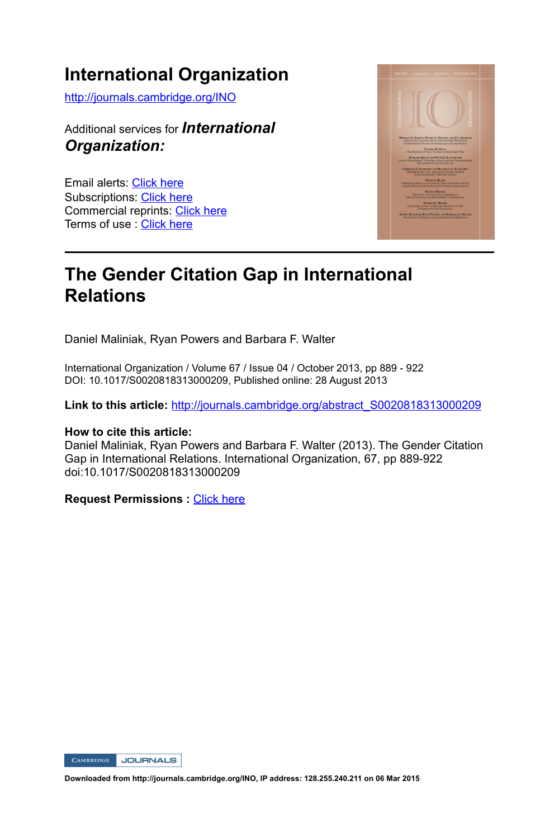# **International Organization**

http://journals.cambridge.org/INO

Additional services for *International Organization:*

Email alerts: Click here Subscriptions: Click here Commercial reprints: Click here Terms of use : Click here



# **The Gender Citation Gap in International Relations**

Daniel Maliniak, Ryan Powers and Barbara F. Walter

International Organization / Volume 67 / Issue 04 / October 2013, pp 889 - 922 DOI: 10.1017/S0020818313000209, Published online: 28 August 2013

Link to this article: http://journals.cambridge.org/abstract\_S0020818313000209

### **How to cite this article:**

Daniel Maliniak, Ryan Powers and Barbara F. Walter (2013). The Gender Citation Gap in International Relations. International Organization, 67, pp 889-922 doi:10.1017/S0020818313000209

### **Request Permissions :** Click here

CAMBRIDGE JOURNALS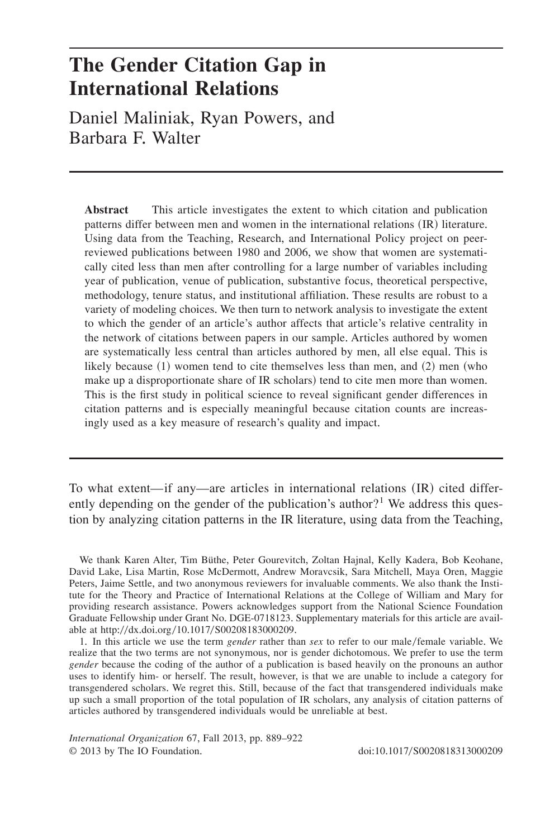# **The Gender Citation Gap in International Relations**

Daniel Maliniak, Ryan Powers, and Barbara F. Walter

**Abstract** This article investigates the extent to which citation and publication patterns differ between men and women in the international relations  $(IR)$  literature. Using data from the Teaching, Research, and International Policy project on peerreviewed publications between 1980 and 2006, we show that women are systematically cited less than men after controlling for a large number of variables including year of publication, venue of publication, substantive focus, theoretical perspective, methodology, tenure status, and institutional affiliation. These results are robust to a variety of modeling choices. We then turn to network analysis to investigate the extent to which the gender of an article's author affects that article's relative centrality in the network of citations between papers in our sample+ Articles authored by women are systematically less central than articles authored by men, all else equal. This is likely because  $(1)$  women tend to cite themselves less than men, and  $(2)$  men (who make up a disproportionate share of IR scholars) tend to cite men more than women. This is the first study in political science to reveal significant gender differences in citation patterns and is especially meaningful because citation counts are increasingly used as a key measure of research's quality and impact.

To what extent—if any—are articles in international relations  $(IR)$  cited differently depending on the gender of the publication's author?<sup>1</sup> We address this question by analyzing citation patterns in the IR literature, using data from the Teaching,

We thank Karen Alter, Tim Büthe, Peter Gourevitch, Zoltan Hajnal, Kelly Kadera, Bob Keohane, David Lake, Lisa Martin, Rose McDermott, Andrew Moravcsik, Sara Mitchell, Maya Oren, Maggie Peters, Jaime Settle, and two anonymous reviewers for invaluable comments. We also thank the Institute for the Theory and Practice of International Relations at the College of William and Mary for providing research assistance. Powers acknowledges support from the National Science Foundation Graduate Fellowship under Grant No. DGE-0718123. Supplementary materials for this article are available at http://dx.doi.org/10.1017/S00208183000209.

1. In this article we use the term *gender* rather than *sex* to refer to our male/female variable. We realize that the two terms are not synonymous, nor is gender dichotomous. We prefer to use the term *gender* because the coding of the author of a publication is based heavily on the pronouns an author uses to identify him- or herself. The result, however, is that we are unable to include a category for transgendered scholars. We regret this. Still, because of the fact that transgendered individuals make up such a small proportion of the total population of IR scholars, any analysis of citation patterns of articles authored by transgendered individuals would be unreliable at best.

*International Organization* 67, Fall 2013, pp. 889–922 © 2013 by The IO Foundation.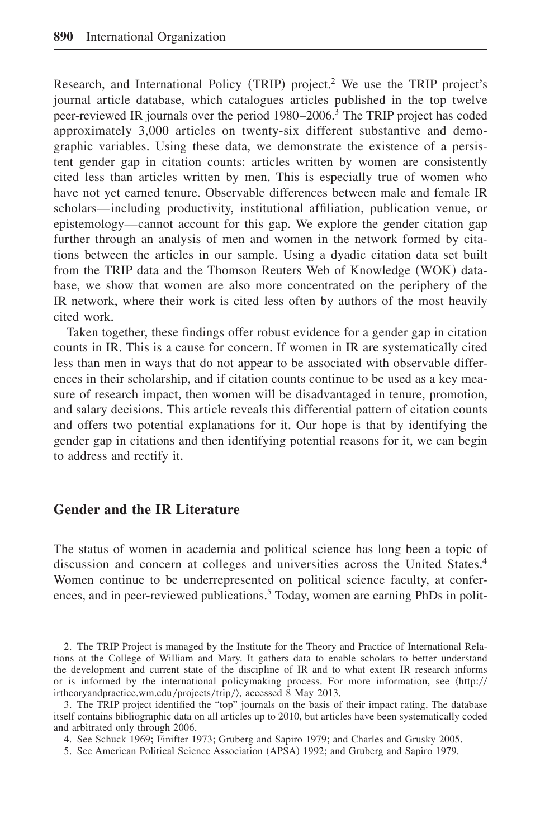Research, and International Policy (TRIP) project.<sup>2</sup> We use the TRIP project's journal article database, which catalogues articles published in the top twelve peer-reviewed IR journals over the period 1980–2006.<sup>3</sup> The TRIP project has coded approximately 3,000 articles on twenty-six different substantive and demographic variables. Using these data, we demonstrate the existence of a persistent gender gap in citation counts: articles written by women are consistently cited less than articles written by men. This is especially true of women who have not yet earned tenure. Observable differences between male and female IR scholars—including productivity, institutional affiliation, publication venue, or epistemology—cannot account for this gap. We explore the gender citation gap further through an analysis of men and women in the network formed by citations between the articles in our sample. Using a dyadic citation data set built from the TRIP data and the Thomson Reuters Web of Knowledge (WOK) database, we show that women are also more concentrated on the periphery of the IR network, where their work is cited less often by authors of the most heavily cited work.

Taken together, these findings offer robust evidence for a gender gap in citation counts in IR. This is a cause for concern. If women in IR are systematically cited less than men in ways that do not appear to be associated with observable differences in their scholarship, and if citation counts continue to be used as a key measure of research impact, then women will be disadvantaged in tenure, promotion, and salary decisions. This article reveals this differential pattern of citation counts and offers two potential explanations for it. Our hope is that by identifying the gender gap in citations and then identifying potential reasons for it, we can begin to address and rectify it.

# **Gender and the IR Literature**

The status of women in academia and political science has long been a topic of discussion and concern at colleges and universities across the United States.<sup>4</sup> Women continue to be underrepresented on political science faculty, at conferences, and in peer-reviewed publications.<sup>5</sup> Today, women are earning PhDs in polit-

2. The TRIP Project is managed by the Institute for the Theory and Practice of International Relations at the College of William and Mary. It gathers data to enable scholars to better understand the development and current state of the discipline of IR and to what extent IR research informs or is informed by the international policymaking process. For more information, see  $\langle \text{http://}\rangle$ irtheoryandpractice.wm.edu/projects/trip/), accessed 8 May 2013.

3. The TRIP project identified the "top" journals on the basis of their impact rating. The database itself contains bibliographic data on all articles up to 2010, but articles have been systematically coded and arbitrated only through 2006.

4. See Schuck 1969; Finifter 1973; Gruberg and Sapiro 1979; and Charles and Grusky 2005.

<sup>5.</sup> See American Political Science Association (APSA) 1992; and Gruberg and Sapiro 1979.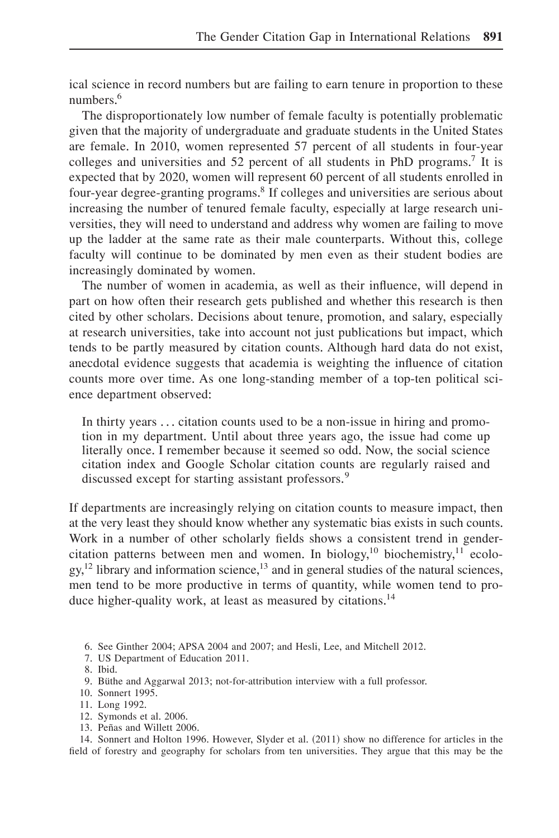ical science in record numbers but are failing to earn tenure in proportion to these numbers.<sup>6</sup>

The disproportionately low number of female faculty is potentially problematic given that the majority of undergraduate and graduate students in the United States are female. In 2010, women represented 57 percent of all students in four-year colleges and universities and 52 percent of all students in PhD programs.<sup>7</sup> It is expected that by 2020, women will represent 60 percent of all students enrolled in four-year degree-granting programs.<sup>8</sup> If colleges and universities are serious about increasing the number of tenured female faculty, especially at large research universities, they will need to understand and address why women are failing to move up the ladder at the same rate as their male counterparts+ Without this, college faculty will continue to be dominated by men even as their student bodies are increasingly dominated by women.

The number of women in academia, as well as their influence, will depend in part on how often their research gets published and whether this research is then cited by other scholars. Decisions about tenure, promotion, and salary, especially at research universities, take into account not just publications but impact, which tends to be partly measured by citation counts. Although hard data do not exist, anecdotal evidence suggests that academia is weighting the influence of citation counts more over time. As one long-standing member of a top-ten political sci-ence department observed:

In thirty years  $\ldots$  citation counts used to be a non-issue in hiring and promotion in my department. Until about three years ago, the issue had come up literally once. I remember because it seemed so odd. Now, the social science citation index and Google Scholar citation counts are regularly raised and discussed except for starting assistant professors.<sup>9</sup>

If departments are increasingly relying on citation counts to measure impact, then at the very least they should know whether any systematic bias exists in such counts. Work in a number of other scholarly fields shows a consistent trend in gendercitation patterns between men and women. In biology,  $10$  biochemistry,  $11$  ecolo $gy$ ,<sup>12</sup> library and information science,<sup>13</sup> and in general studies of the natural sciences, men tend to be more productive in terms of quantity, while women tend to produce higher-quality work, at least as measured by citations. $14$ 

6. See Ginther 2004; APSA 2004 and 2007; and Hesli, Lee, and Mitchell 2012.

7. US Department of Education 2011.

9. Büthe and Aggarwal 2013; not-for-attribution interview with a full professor.

- 10. Sonnert 1995.
- 11. Long 1992.
- 12. Symonds et al. 2006.
- 13. Peñas and Willett 2006.

14. Sonnert and Holton 1996. However, Slyder et al.  $(2011)$  show no difference for articles in the field of forestry and geography for scholars from ten universities. They argue that this may be the

<sup>8.</sup> Ibid.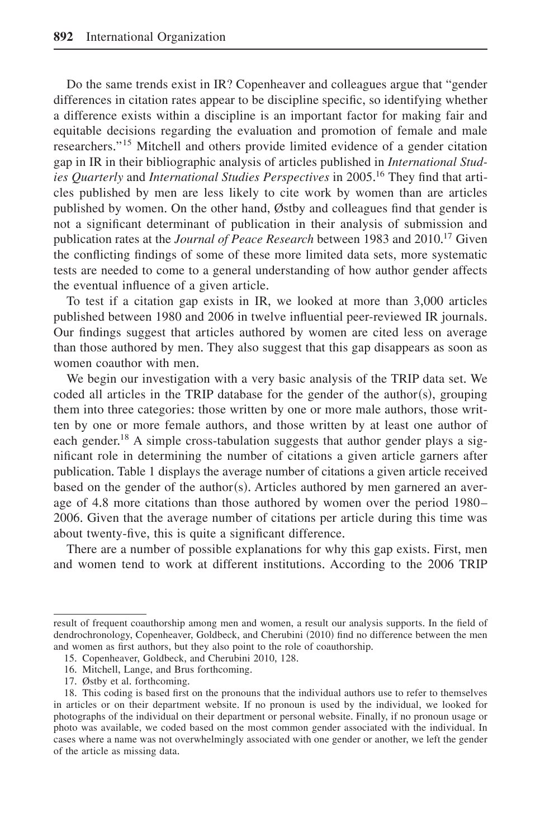Do the same trends exist in IR? Copenheaver and colleagues argue that "gender differences in citation rates appear to be discipline specific, so identifying whether a difference exists within a discipline is an important factor for making fair and equitable decisions regarding the evaluation and promotion of female and male researchers."<sup>15</sup> Mitchell and others provide limited evidence of a gender citation gap in IR in their bibliographic analysis of articles published in *International Stud*ies Quarterly and *International Studies Perspectives* in 2005.<sup>16</sup> They find that articles published by men are less likely to cite work by women than are articles published by women. On the other hand, Østby and colleagues find that gender is not a significant determinant of publication in their analysis of submission and publication rates at the *Journal of Peace Research* between 1983 and 2010.<sup>17</sup> Given the conflicting findings of some of these more limited data sets, more systematic tests are needed to come to a general understanding of how author gender affects the eventual influence of a given article.

To test if a citation gap exists in IR, we looked at more than 3,000 articles published between 1980 and 2006 in twelve influential peer-reviewed IR journals. Our findings suggest that articles authored by women are cited less on average than those authored by men. They also suggest that this gap disappears as soon as women coauthor with men.

We begin our investigation with a very basic analysis of the TRIP data set. We coded all articles in the TRIP database for the gender of the author(s), grouping them into three categories: those written by one or more male authors, those written by one or more female authors, and those written by at least one author of each gender.<sup>18</sup> A simple cross-tabulation suggests that author gender plays a significant role in determining the number of citations a given article garners after publication. Table 1 displays the average number of citations a given article received based on the gender of the author(s). Articles authored by men garnered an average of 4.8 more citations than those authored by women over the period 1980– 2006. Given that the average number of citations per article during this time was about twenty-five, this is quite a significant difference.

There are a number of possible explanations for why this gap exists. First, men and women tend to work at different institutions. According to the 2006 TRIP

result of frequent coauthorship among men and women, a result our analysis supports. In the field of dendrochronology, Copenheaver, Goldbeck, and Cherubini (2010) find no difference between the men and women as first authors, but they also point to the role of coauthorship.

<sup>15.</sup> Copenheaver, Goldbeck, and Cherubini 2010, 128.

<sup>16.</sup> Mitchell, Lange, and Brus forthcoming.

<sup>17.</sup> Østby et al. forthcoming.

<sup>18.</sup> This coding is based first on the pronouns that the individual authors use to refer to themselves in articles or on their department website. If no pronoun is used by the individual, we looked for photographs of the individual on their department or personal website. Finally, if no pronoun usage or photo was available, we coded based on the most common gender associated with the individual. In cases where a name was not overwhelmingly associated with one gender or another, we left the gender of the article as missing data.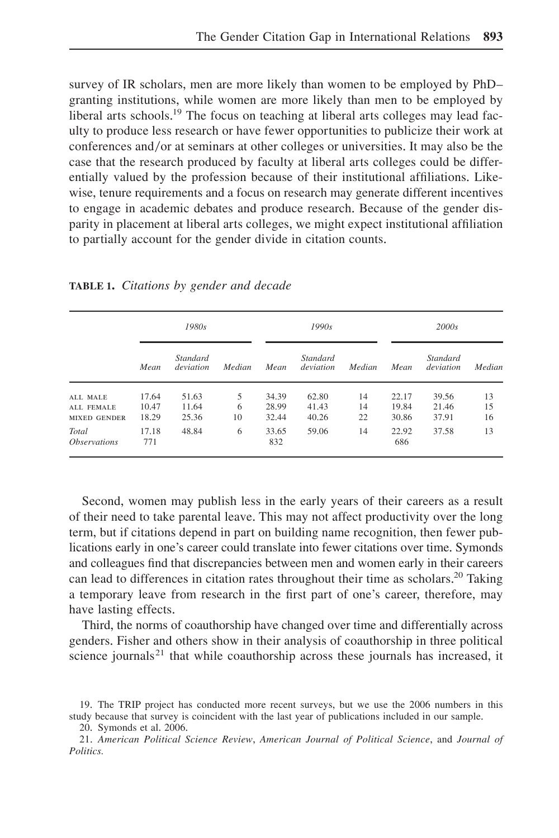survey of IR scholars, men are more likely than women to be employed by PhD– granting institutions, while women are more likely than men to be employed by liberal arts schools.<sup>19</sup> The focus on teaching at liberal arts colleges may lead faculty to produce less research or have fewer opportunities to publicize their work at conferences and/or at seminars at other colleges or universities. It may also be the case that the research produced by faculty at liberal arts colleges could be differentially valued by the profession because of their institutional affiliations. Likewise, tenure requirements and a focus on research may generate different incentives to engage in academic debates and produce research. Because of the gender disparity in placement at liberal arts colleges, we might expect institutional affiliation to partially account for the gender divide in citation counts.

|                                     |              | 1980s                        |        |              | 1990s                        |               |              | 2000s                        |        |
|-------------------------------------|--------------|------------------------------|--------|--------------|------------------------------|---------------|--------------|------------------------------|--------|
|                                     | Mean         | <b>Standard</b><br>deviation | Median | Mean         | <b>Standard</b><br>deviation | <i>Median</i> | <b>Mean</b>  | <b>Standard</b><br>deviation | Median |
| ALL MALE                            | 17.64        | 51.63                        | 5      | 34.39        | 62.80                        | 14            | 22.17        | 39.56                        | 13     |
| ALL FEMALE                          | 10.47        | 11.64                        | 6      | 28.99        | 41.43                        | 14            | 19.84        | 21.46                        | 15     |
| <b>MIXED GENDER</b>                 | 18.29        | 25.36                        | 10     | 32.44        | 40.26                        | 22            | 30.86        | 37.91                        | 16     |
| Total<br><i><b>Observations</b></i> | 17.18<br>771 | 48.84                        | 6      | 33.65<br>832 | 59.06                        | 14            | 22.92<br>686 | 37.58                        | 13     |

**TABLE 1.** *Citations by gender and decade*

Second, women may publish less in the early years of their careers as a result of their need to take parental leave. This may not affect productivity over the long term, but if citations depend in part on building name recognition, then fewer publications early in one's career could translate into fewer citations over time. Symonds and colleagues find that discrepancies between men and women early in their careers can lead to differences in citation rates throughout their time as scholars.<sup>20</sup> Taking a temporary leave from research in the first part of one's career, therefore, may have lasting effects.

Third, the norms of coauthorship have changed over time and differentially across genders. Fisher and others show in their analysis of coauthorship in three political science journals<sup>21</sup> that while coauthorship across these journals has increased, it

21+ *American Political Science Review*, *American Journal of Political Science*, and *Journal of Politics.*

<sup>19.</sup> The TRIP project has conducted more recent surveys, but we use the 2006 numbers in this study because that survey is coincident with the last year of publications included in our sample.

<sup>20.</sup> Symonds et al. 2006.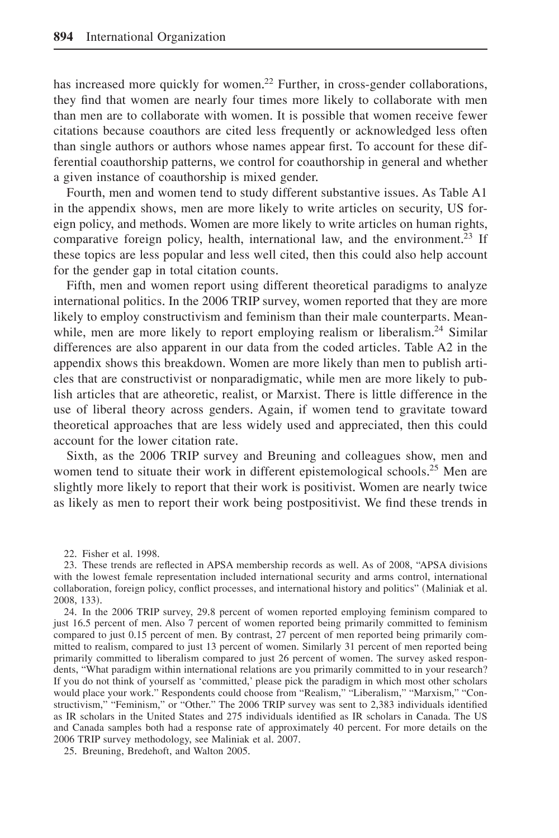has increased more quickly for women.<sup>22</sup> Further, in cross-gender collaborations, they find that women are nearly four times more likely to collaborate with men than men are to collaborate with women. It is possible that women receive fewer citations because coauthors are cited less frequently or acknowledged less often than single authors or authors whose names appear first. To account for these differential coauthorship patterns, we control for coauthorship in general and whether a given instance of coauthorship is mixed gender.

Fourth, men and women tend to study different substantive issues. As Table A1 in the appendix shows, men are more likely to write articles on security, US foreign policy, and methods. Women are more likely to write articles on human rights, comparative foreign policy, health, international law, and the environment.<sup>23</sup> If these topics are less popular and less well cited, then this could also help account for the gender gap in total citation counts.

Fifth, men and women report using different theoretical paradigms to analyze international politics. In the 2006 TRIP survey, women reported that they are more likely to employ constructivism and feminism than their male counterparts. Meanwhile, men are more likely to report employing realism or liberalism.<sup>24</sup> Similar differences are also apparent in our data from the coded articles. Table A2 in the appendix shows this breakdown. Women are more likely than men to publish articles that are constructivist or nonparadigmatic, while men are more likely to publish articles that are atheoretic, realist, or Marxist. There is little difference in the use of liberal theory across genders. Again, if women tend to gravitate toward theoretical approaches that are less widely used and appreciated, then this could account for the lower citation rate.

Sixth, as the 2006 TRIP survey and Breuning and colleagues show, men and women tend to situate their work in different epistemological schools.<sup>25</sup> Men are slightly more likely to report that their work is positivist. Women are nearly twice as likely as men to report their work being postpositivist. We find these trends in

22. Fisher et al. 1998.

24. In the 2006 TRIP survey, 29.8 percent of women reported employing feminism compared to just 16.5 percent of men. Also 7 percent of women reported being primarily committed to feminism compared to just 0.15 percent of men. By contrast, 27 percent of men reported being primarily committed to realism, compared to just 13 percent of women. Similarly 31 percent of men reported being primarily committed to liberalism compared to just 26 percent of women. The survey asked respondents, "What paradigm within international relations are you primarily committed to in your research? If you do not think of yourself as 'committed,' please pick the paradigm in which most other scholars would place your work." Respondents could choose from "Realism," "Liberalism," "Marxism," "Constructivism," "Feminism," or "Other." The 2006 TRIP survey was sent to 2,383 individuals identified as IR scholars in the United States and 275 individuals identified as IR scholars in Canada. The US and Canada samples both had a response rate of approximately 40 percent. For more details on the 2006 TRIP survey methodology, see Maliniak et al. 2007.

25. Breuning, Bredehoft, and Walton 2005.

<sup>23.</sup> These trends are reflected in APSA membership records as well. As of 2008, "APSA divisions with the lowest female representation included international security and arms control, international collaboration, foreign policy, conflict processes, and international history and politics" (Maliniak et al. 2008, 133).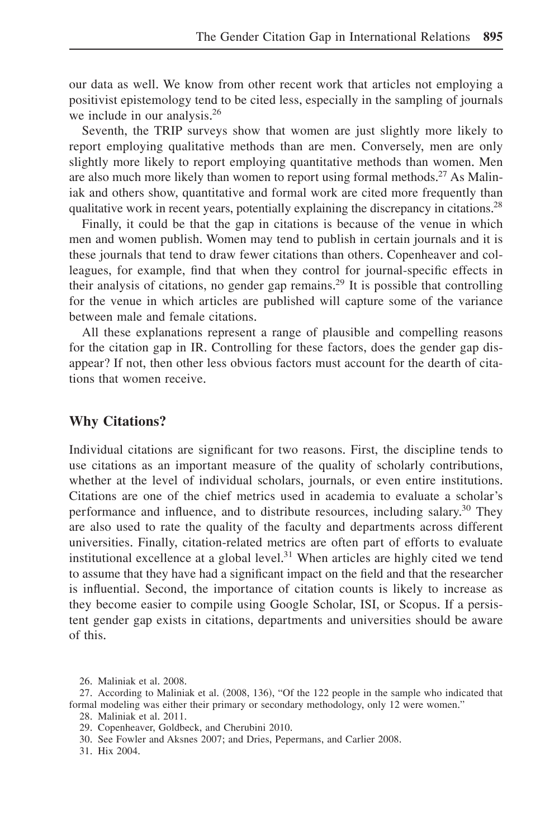our data as well. We know from other recent work that articles not employing a positivist epistemology tend to be cited less, especially in the sampling of journals we include in our analysis. $26$ 

Seventh, the TRIP surveys show that women are just slightly more likely to report employing qualitative methods than are men. Conversely, men are only slightly more likely to report employing quantitative methods than women. Men are also much more likely than women to report using formal methods.<sup>27</sup> As Maliniak and others show, quantitative and formal work are cited more frequently than qualitative work in recent years, potentially explaining the discrepancy in citations.<sup>28</sup>

Finally, it could be that the gap in citations is because of the venue in which men and women publish. Women may tend to publish in certain journals and it is these journals that tend to draw fewer citations than others. Copenheaver and colleagues, for example, find that when they control for journal-specific effects in their analysis of citations, no gender gap remains.<sup>29</sup> It is possible that controlling for the venue in which articles are published will capture some of the variance between male and female citations.

All these explanations represent a range of plausible and compelling reasons for the citation gap in IR. Controlling for these factors, does the gender gap disappear? If not, then other less obvious factors must account for the dearth of citations that women receive.

# **Why Citations?**

Individual citations are significant for two reasons. First, the discipline tends to use citations as an important measure of the quality of scholarly contributions, whether at the level of individual scholars, journals, or even entire institutions. Citations are one of the chief metrics used in academia to evaluate a scholar's performance and influence, and to distribute resources, including salary.<sup>30</sup> They are also used to rate the quality of the faculty and departments across different universities. Finally, citation-related metrics are often part of efforts to evaluate institutional excellence at a global level.<sup>31</sup> When articles are highly cited we tend to assume that they have had a significant impact on the field and that the researcher is influential. Second, the importance of citation counts is likely to increase as they become easier to compile using Google Scholar, ISI, or Scopus. If a persistent gender gap exists in citations, departments and universities should be aware of this.

- 28. Maliniak et al. 2011.
- 29. Copenheaver, Goldbeck, and Cherubini 2010.
- 30. See Fowler and Aksnes 2007; and Dries, Pepermans, and Carlier 2008.
- 31. Hix 2004.

<sup>26.</sup> Maliniak et al. 2008.

<sup>27.</sup> According to Maliniak et al. (2008, 136), "Of the 122 people in the sample who indicated that formal modeling was either their primary or secondary methodology, only 12 were women."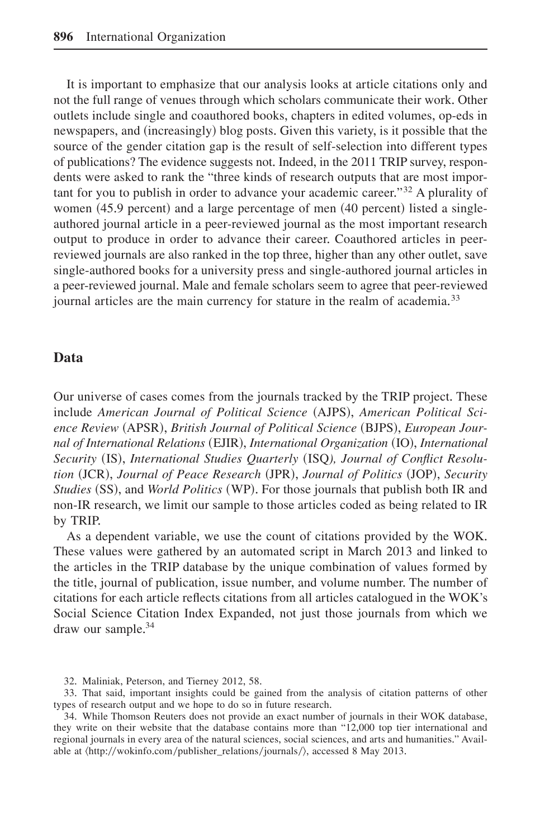It is important to emphasize that our analysis looks at article citations only and not the full range of venues through which scholars communicate their work+ Other outlets include single and coauthored books, chapters in edited volumes, op-eds in newspapers, and (increasingly) blog posts. Given this variety, is it possible that the source of the gender citation gap is the result of self-selection into different types of publications? The evidence suggests not. Indeed, in the 2011 TRIP survey, respondents were asked to rank the "three kinds of research outputs that are most important for you to publish in order to advance your academic career."<sup>32</sup> A plurality of women (45.9 percent) and a large percentage of men (40 percent) listed a singleauthored journal article in a peer-reviewed journal as the most important research output to produce in order to advance their career. Coauthored articles in peerreviewed journals are also ranked in the top three, higher than any other outlet, save single-authored books for a university press and single-authored journal articles in a peer-reviewed journal. Male and female scholars seem to agree that peer-reviewed journal articles are the main currency for stature in the realm of academia.<sup>33</sup>

#### **Data**

Our universe of cases comes from the journals tracked by the TRIP project. These include American Journal of Political Science (AJPS), American Political Sci*ence Review* (APSR), *British Journal of Political Science* (BJPS), *European Journal of International Relations* (EJIR), *International Organization* (IO), *International* Security (IS), *International Studies Quarterly* (ISQ), *Journal of Conflict Resolution* (JCR), *Journal of Peace Research* (JPR), *Journal of Politics* (JOP), *Security Studies* (SS), and *World Politics* (WP). For those journals that publish both IR and non-IR research, we limit our sample to those articles coded as being related to IR by TRIP+

As a dependent variable, we use the count of citations provided by the WOK. These values were gathered by an automated script in March 2013 and linked to the articles in the TRIP database by the unique combination of values formed by the title, journal of publication, issue number, and volume number. The number of citations for each article reflects citations from all articles catalogued in the WOK's Social Science Citation Index Expanded, not just those journals from which we draw our sample.<sup>34</sup>

<sup>32.</sup> Maliniak, Peterson, and Tierney 2012, 58.

<sup>33.</sup> That said, important insights could be gained from the analysis of citation patterns of other types of research output and we hope to do so in future research.

<sup>34.</sup> While Thomson Reuters does not provide an exact number of journals in their WOK database, they write on their website that the database contains more than "12,000 top tier international and regional journals in every area of the natural sciences, social sciences, and arts and humanities." Available at  $\langle$ http://wokinfo.com/publisher\_relations/journals/ $\rangle$ , accessed 8 May 2013.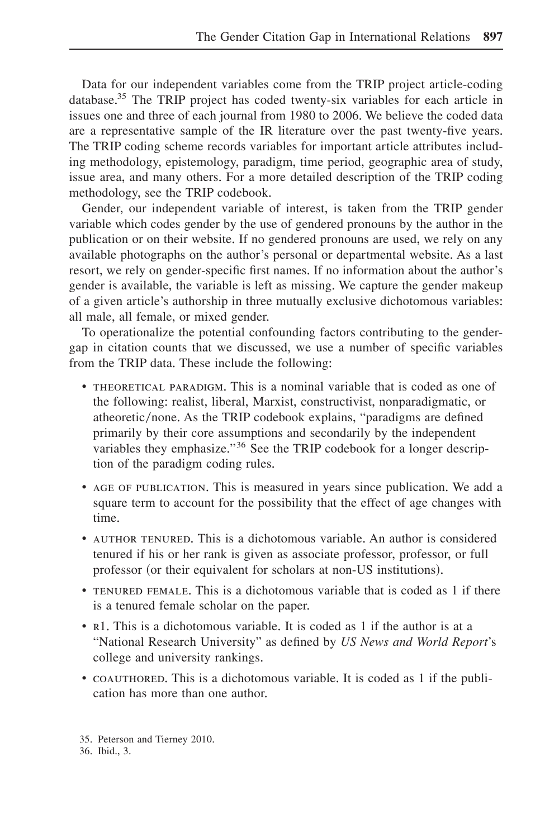Data for our independent variables come from the TRIP project article-coding database.<sup>35</sup> The TRIP project has coded twenty-six variables for each article in issues one and three of each journal from 1980 to 2006. We believe the coded data are a representative sample of the IR literature over the past twenty-five years. The TRIP coding scheme records variables for important article attributes including methodology, epistemology, paradigm, time period, geographic area of study, issue area, and many others. For a more detailed description of the TRIP coding methodology, see the TRIP codebook.

Gender, our independent variable of interest, is taken from the TRIP gender variable which codes gender by the use of gendered pronouns by the author in the publication or on their website. If no gendered pronouns are used, we rely on any available photographs on the author's personal or departmental website. As a last resort, we rely on gender-specific first names. If no information about the author's gender is available, the variable is left as missing+ We capture the gender makeup of a given article's authorship in three mutually exclusive dichotomous variables: all male, all female, or mixed gender.

To operationalize the potential confounding factors contributing to the gendergap in citation counts that we discussed, we use a number of specific variables from the TRIP data. These include the following:

- THEORETICAL PARADIGM. This is a nominal variable that is coded as one of the following: realist, liberal, Marxist, constructivist, nonparadigmatic, or atheoretic/none. As the TRIP codebook explains, "paradigms are defined primarily by their core assumptions and secondarily by the independent variables they emphasize."<sup>36</sup> See the TRIP codebook for a longer description of the paradigm coding rules.
- AGE OF PUBLICATION. This is measured in years since publication. We add a square term to account for the possibility that the effect of age changes with time
- AUTHOR TENURED. This is a dichotomous variable. An author is considered tenured if his or her rank is given as associate professor, professor, or full professor (or their equivalent for scholars at non-US institutions).
- TENURED FEMALE. This is a dichotomous variable that is coded as 1 if there is a tenured female scholar on the paper.
- R1. This is a dichotomous variable. It is coded as 1 if the author is at a "National Research University" as defined by *US News and World Report*'s college and university rankings.
- COAUTHORED. This is a dichotomous variable. It is coded as 1 if the publication has more than one author+

35. Peterson and Tierney 2010.

36. Ibid., 3.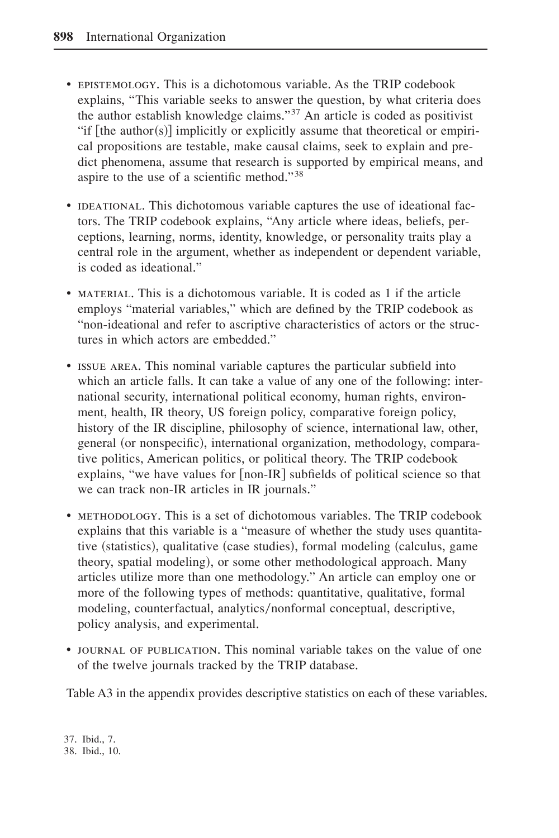- EPISTEMOLOGY. This is a dichotomous variable. As the TRIP codebook explains, "This variable seeks to answer the question, by what criteria does the author establish knowledge claims." $37$  An article is coded as positivist "if  $[$ the author $(s)$  $]$  implicitly or explicitly assume that theoretical or empirical propositions are testable, make causal claims, seek to explain and predict phenomena, assume that research is supported by empirical means, and aspire to the use of a scientific method."<sup>38</sup>
- IDEATIONAL. This dichotomous variable captures the use of ideational factors. The TRIP codebook explains, "Any article where ideas, beliefs, perceptions, learning, norms, identity, knowledge, or personality traits play a central role in the argument, whether as independent or dependent variable, is coded as ideational."
- MATERIAL. This is a dichotomous variable. It is coded as 1 if the article employs "material variables," which are defined by the TRIP codebook as "non-ideational and refer to ascriptive characteristics of actors or the structures in which actors are embedded."
- ISSUE AREA. This nominal variable captures the particular subfield into which an article falls. It can take a value of any one of the following: international security, international political economy, human rights, environment, health, IR theory, US foreign policy, comparative foreign policy, history of the IR discipline, philosophy of science, international law, other, general (or nonspecific), international organization, methodology, comparative politics, American politics, or political theory. The TRIP codebook explains, "we have values for  $[non-IR]$  subfields of political science so that we can track non-IR articles in IR journals."
- METHODOLOGY. This is a set of dichotomous variables. The TRIP codebook explains that this variable is a "measure of whether the study uses quantitative (statistics), qualitative (case studies), formal modeling (calculus, game theory, spatial modeling), or some other methodological approach. Many articles utilize more than one methodology." An article can employ one or more of the following types of methods: quantitative, qualitative, formal modeling, counterfactual, analytics/nonformal conceptual, descriptive, policy analysis, and experimental.
- JOURNAL OF PUBLICATION. This nominal variable takes on the value of one of the twelve journals tracked by the TRIP database.

Table A3 in the appendix provides descriptive statistics on each of these variables.

37. Ibid., 7. 38. Ibid., 10.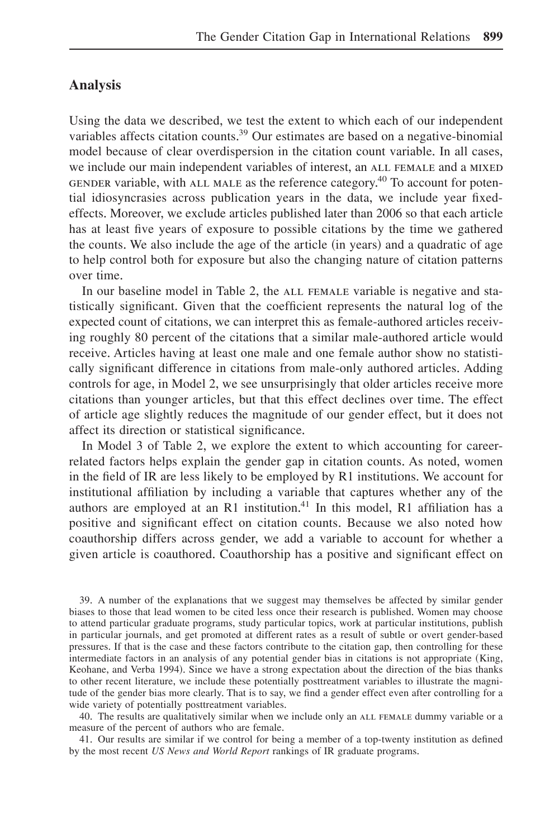# **Analysis**

Using the data we described, we test the extent to which each of our independent variables affects citation counts.<sup>39</sup> Our estimates are based on a negative-binomial model because of clear overdispersion in the citation count variable. In all cases, we include our main independent variables of interest, an ALL FEMALE and a MIXED GENDER variable, with ALL MALE as the reference category.<sup>40</sup> To account for potential idiosyncrasies across publication years in the data, we include year fixedeffects. Moreover, we exclude articles published later than 2006 so that each article has at least five years of exposure to possible citations by the time we gathered the counts. We also include the age of the article  $(in$  years) and a quadratic of age to help control both for exposure but also the changing nature of citation patterns over time.

In our baseline model in Table 2, the ALL FEMALE variable is negative and statistically significant. Given that the coefficient represents the natural log of the expected count of citations, we can interpret this as female-authored articles receiving roughly 80 percent of the citations that a similar male-authored article would receive. Articles having at least one male and one female author show no statistically significant difference in citations from male-only authored articles+ Adding controls for age, in Model 2, we see unsurprisingly that older articles receive more citations than younger articles, but that this effect declines over time+ The effect of article age slightly reduces the magnitude of our gender effect, but it does not affect its direction or statistical significance.

In Model 3 of Table 2, we explore the extent to which accounting for careerrelated factors helps explain the gender gap in citation counts. As noted, women in the field of IR are less likely to be employed by R1 institutions. We account for institutional affiliation by including a variable that captures whether any of the authors are employed at an R1 institution.<sup>41</sup> In this model, R1 affiliation has a positive and significant effect on citation counts. Because we also noted how coauthorship differs across gender, we add a variable to account for whether a given article is coauthored. Coauthorship has a positive and significant effect on

39. A number of the explanations that we suggest may themselves be affected by similar gender biases to those that lead women to be cited less once their research is published. Women may choose to attend particular graduate programs, study particular topics, work at particular institutions, publish in particular journals, and get promoted at different rates as a result of subtle or overt gender-based pressures. If that is the case and these factors contribute to the citation gap, then controlling for these intermediate factors in an analysis of any potential gender bias in citations is not appropriate (King, Keohane, and Verba 1994). Since we have a strong expectation about the direction of the bias thanks to other recent literature, we include these potentially posttreatment variables to illustrate the magnitude of the gender bias more clearly. That is to say, we find a gender effect even after controlling for a wide variety of potentially posttreatment variables.

40. The results are qualitatively similar when we include only an ALL FEMALE dummy variable or a measure of the percent of authors who are female.

41. Our results are similar if we control for being a member of a top-twenty institution as defined by the most recent *US News and World Report* rankings of IR graduate programs.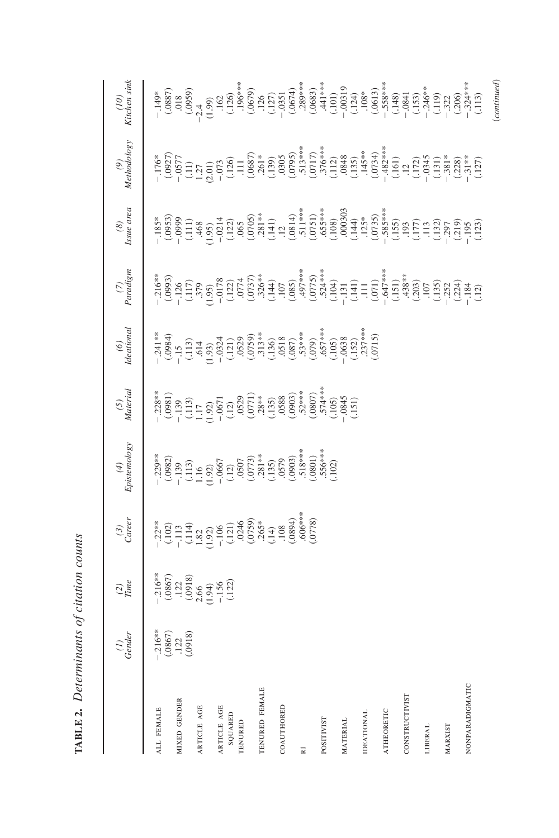|                         | $\frac{(1)}{Gender}$                                                | $\frac{2}{Time}$                                                                       | $\frac{(3)}{Career}$                                                                                                                                                                                                                                                                                                                                                                                                                                          | $\begin{array}{l} (4) \\ \textit{Epistemology} \end{array}$                                                                                                                                                                                                                                                                                                                                           | $\frac{(5)}{Material}$                                                                                                                                                                                                                                                                                                       | $\begin{array}{c} (6) \\ \textit{Ideal} \end{array}$                                                                                                                                                                                                                                                                                                                                                                                             | $P$ aradigm | $(8)$ Issue area                                                                                                                                                                                                                                                                       | $\stackrel{(9)}{Methodology}$                                                                                                                                                                                                                                                                                 | $\begin{array}{c} (10) \\ Kirchen\ sink \end{array}$                                                                                                                                                                                                                                                    |
|-------------------------|---------------------------------------------------------------------|----------------------------------------------------------------------------------------|---------------------------------------------------------------------------------------------------------------------------------------------------------------------------------------------------------------------------------------------------------------------------------------------------------------------------------------------------------------------------------------------------------------------------------------------------------------|-------------------------------------------------------------------------------------------------------------------------------------------------------------------------------------------------------------------------------------------------------------------------------------------------------------------------------------------------------------------------------------------------------|------------------------------------------------------------------------------------------------------------------------------------------------------------------------------------------------------------------------------------------------------------------------------------------------------------------------------|--------------------------------------------------------------------------------------------------------------------------------------------------------------------------------------------------------------------------------------------------------------------------------------------------------------------------------------------------------------------------------------------------------------------------------------------------|-------------|----------------------------------------------------------------------------------------------------------------------------------------------------------------------------------------------------------------------------------------------------------------------------------------|---------------------------------------------------------------------------------------------------------------------------------------------------------------------------------------------------------------------------------------------------------------------------------------------------------------|---------------------------------------------------------------------------------------------------------------------------------------------------------------------------------------------------------------------------------------------------------------------------------------------------------|
| ALL FEMALE              |                                                                     |                                                                                        |                                                                                                                                                                                                                                                                                                                                                                                                                                                               |                                                                                                                                                                                                                                                                                                                                                                                                       |                                                                                                                                                                                                                                                                                                                              |                                                                                                                                                                                                                                                                                                                                                                                                                                                  |             |                                                                                                                                                                                                                                                                                        |                                                                                                                                                                                                                                                                                                               |                                                                                                                                                                                                                                                                                                         |
| <b>MIXED GENDER</b>     | $\begin{array}{c} -216** \\ (.0867) \\ .122 \\ (.0918) \end{array}$ |                                                                                        |                                                                                                                                                                                                                                                                                                                                                                                                                                                               |                                                                                                                                                                                                                                                                                                                                                                                                       |                                                                                                                                                                                                                                                                                                                              |                                                                                                                                                                                                                                                                                                                                                                                                                                                  |             |                                                                                                                                                                                                                                                                                        |                                                                                                                                                                                                                                                                                                               |                                                                                                                                                                                                                                                                                                         |
| ARTICLE AGE             |                                                                     | $-216**$<br>$(.0867)$<br>$(.0867)$<br>$(.0918)$<br>$(.0918)$<br>$(-1.56)$<br>$(-1.56)$ | $\begin{array}{l} \begin{array}{l} \text{--}22* \\[-1.2ex] -1.11 \end{array} \\ \begin{array}{l} \begin{array}{l} \text{--}11.14 \\[-1.2ex] -1.11 \end{array} \\ \begin{array}{l} \begin{array}{l} \text{--}11.14 \\[-1.2ex] -1.11 \end{array} \\ \begin{array}{l} \text{--}1.16 \end{array} \\ \begin{array}{l} \text{--}1.16 \end{array} \\ \begin{array}{l} \text{--}1.16 \end{array} \\ \begin{array}{l} \text{--}1.16 \end{array} \\ \begin{array}{l} \$ | $\begin{array}{l} -229\overset{**}{\cancel{5}}\\ -\left( 0.982 \right)\\ -\left( 1.13\right)\\ -\left( 1.92 \right)\\ -\left( 1.0667 \right)\\ -\left( 0.92 \right)\\ -\left( 0.977 \right)\\ -\left( 0.977 \right)\\ -\left( 0.977 \right)\\ -\left( 0.977 \right)\\ -\left( 0.977 \right)\\ -\left( 0.979 \right)\\ -\left( 0.979 \right)\\ -\left( 0.979 \right)\\ -\left( 0.996 \right)\\ -\left$ | $\begin{array}{l} -228\overset{3}{\cancel{5}}\\ -(0981)\\ -(131)\\ -(132)\\ (122)\\ -(167)\\ -(128)\\ (120)\\ -(121)\\ (121)\\ (122)\\ (123)\\ (123)\\ (123)\\ (123)\\ (123)\\ (123)\\ (123)\\ (124)\\ (125)\\ (126)\\ (127)\\ (128)\\ (129)\\ (129)\\ (129)\\ (121)\\ (121)\\ (123)\\ (123)\\ (124)\\ (124)\\ (125)\\ (126$ | $\begin{array}{l} \left( \begin{array}{c} 2418 \\ -2419 \\ -1115 \\ \end{array} \right) \\ - \left( \begin{array}{c} 1419 \\ -1115 \\ -1115 \\ \end{array} \right) \\ \left( \begin{array}{c} 1419 \\ -1115 \\ -1115 \\ \end{array} \right) \\ \left( \begin{array}{c} 1419 \\ -1115 \\ -1115 \\ \end{array} \right) \\ \left( \begin{array}{c} 1419 \\ -1115 \\ -1115 \\ \end{array} \right) \\ \left( \begin{array}{c} 1419 \\ -1115 \\ -1115$ |             |                                                                                                                                                                                                                                                                                        |                                                                                                                                                                                                                                                                                                               |                                                                                                                                                                                                                                                                                                         |
| ARTICLE AGE             |                                                                     |                                                                                        |                                                                                                                                                                                                                                                                                                                                                                                                                                                               |                                                                                                                                                                                                                                                                                                                                                                                                       |                                                                                                                                                                                                                                                                                                                              |                                                                                                                                                                                                                                                                                                                                                                                                                                                  |             |                                                                                                                                                                                                                                                                                        |                                                                                                                                                                                                                                                                                                               |                                                                                                                                                                                                                                                                                                         |
| SQUARED<br>TENURED      |                                                                     |                                                                                        |                                                                                                                                                                                                                                                                                                                                                                                                                                                               |                                                                                                                                                                                                                                                                                                                                                                                                       |                                                                                                                                                                                                                                                                                                                              |                                                                                                                                                                                                                                                                                                                                                                                                                                                  |             |                                                                                                                                                                                                                                                                                        |                                                                                                                                                                                                                                                                                                               |                                                                                                                                                                                                                                                                                                         |
| TENURED FEMALE          |                                                                     |                                                                                        |                                                                                                                                                                                                                                                                                                                                                                                                                                                               |                                                                                                                                                                                                                                                                                                                                                                                                       |                                                                                                                                                                                                                                                                                                                              |                                                                                                                                                                                                                                                                                                                                                                                                                                                  |             |                                                                                                                                                                                                                                                                                        |                                                                                                                                                                                                                                                                                                               |                                                                                                                                                                                                                                                                                                         |
|                         |                                                                     |                                                                                        |                                                                                                                                                                                                                                                                                                                                                                                                                                                               |                                                                                                                                                                                                                                                                                                                                                                                                       |                                                                                                                                                                                                                                                                                                                              |                                                                                                                                                                                                                                                                                                                                                                                                                                                  |             |                                                                                                                                                                                                                                                                                        |                                                                                                                                                                                                                                                                                                               |                                                                                                                                                                                                                                                                                                         |
| COAUTHORED              |                                                                     |                                                                                        |                                                                                                                                                                                                                                                                                                                                                                                                                                                               |                                                                                                                                                                                                                                                                                                                                                                                                       |                                                                                                                                                                                                                                                                                                                              |                                                                                                                                                                                                                                                                                                                                                                                                                                                  |             |                                                                                                                                                                                                                                                                                        |                                                                                                                                                                                                                                                                                                               |                                                                                                                                                                                                                                                                                                         |
| $\overline{\mathbf{R}}$ |                                                                     |                                                                                        |                                                                                                                                                                                                                                                                                                                                                                                                                                                               |                                                                                                                                                                                                                                                                                                                                                                                                       |                                                                                                                                                                                                                                                                                                                              |                                                                                                                                                                                                                                                                                                                                                                                                                                                  |             |                                                                                                                                                                                                                                                                                        |                                                                                                                                                                                                                                                                                                               |                                                                                                                                                                                                                                                                                                         |
| POSITIVIST              |                                                                     |                                                                                        |                                                                                                                                                                                                                                                                                                                                                                                                                                                               |                                                                                                                                                                                                                                                                                                                                                                                                       |                                                                                                                                                                                                                                                                                                                              |                                                                                                                                                                                                                                                                                                                                                                                                                                                  |             |                                                                                                                                                                                                                                                                                        |                                                                                                                                                                                                                                                                                                               |                                                                                                                                                                                                                                                                                                         |
|                         |                                                                     |                                                                                        |                                                                                                                                                                                                                                                                                                                                                                                                                                                               |                                                                                                                                                                                                                                                                                                                                                                                                       |                                                                                                                                                                                                                                                                                                                              |                                                                                                                                                                                                                                                                                                                                                                                                                                                  |             |                                                                                                                                                                                                                                                                                        |                                                                                                                                                                                                                                                                                                               |                                                                                                                                                                                                                                                                                                         |
| MATERIAL                |                                                                     |                                                                                        |                                                                                                                                                                                                                                                                                                                                                                                                                                                               |                                                                                                                                                                                                                                                                                                                                                                                                       |                                                                                                                                                                                                                                                                                                                              |                                                                                                                                                                                                                                                                                                                                                                                                                                                  |             |                                                                                                                                                                                                                                                                                        |                                                                                                                                                                                                                                                                                                               |                                                                                                                                                                                                                                                                                                         |
| <b>IDEATIONAL</b>       |                                                                     |                                                                                        |                                                                                                                                                                                                                                                                                                                                                                                                                                                               |                                                                                                                                                                                                                                                                                                                                                                                                       |                                                                                                                                                                                                                                                                                                                              |                                                                                                                                                                                                                                                                                                                                                                                                                                                  |             |                                                                                                                                                                                                                                                                                        |                                                                                                                                                                                                                                                                                                               |                                                                                                                                                                                                                                                                                                         |
| ATHEORETIC              |                                                                     |                                                                                        |                                                                                                                                                                                                                                                                                                                                                                                                                                                               |                                                                                                                                                                                                                                                                                                                                                                                                       |                                                                                                                                                                                                                                                                                                                              |                                                                                                                                                                                                                                                                                                                                                                                                                                                  |             |                                                                                                                                                                                                                                                                                        |                                                                                                                                                                                                                                                                                                               |                                                                                                                                                                                                                                                                                                         |
| CONSTRUCTIVIST          |                                                                     |                                                                                        |                                                                                                                                                                                                                                                                                                                                                                                                                                                               |                                                                                                                                                                                                                                                                                                                                                                                                       |                                                                                                                                                                                                                                                                                                                              |                                                                                                                                                                                                                                                                                                                                                                                                                                                  |             |                                                                                                                                                                                                                                                                                        |                                                                                                                                                                                                                                                                                                               |                                                                                                                                                                                                                                                                                                         |
| LIBERAL                 |                                                                     |                                                                                        |                                                                                                                                                                                                                                                                                                                                                                                                                                                               |                                                                                                                                                                                                                                                                                                                                                                                                       |                                                                                                                                                                                                                                                                                                                              |                                                                                                                                                                                                                                                                                                                                                                                                                                                  |             |                                                                                                                                                                                                                                                                                        |                                                                                                                                                                                                                                                                                                               |                                                                                                                                                                                                                                                                                                         |
|                         |                                                                     |                                                                                        |                                                                                                                                                                                                                                                                                                                                                                                                                                                               |                                                                                                                                                                                                                                                                                                                                                                                                       |                                                                                                                                                                                                                                                                                                                              |                                                                                                                                                                                                                                                                                                                                                                                                                                                  |             |                                                                                                                                                                                                                                                                                        |                                                                                                                                                                                                                                                                                                               |                                                                                                                                                                                                                                                                                                         |
| MARXIST                 |                                                                     |                                                                                        |                                                                                                                                                                                                                                                                                                                                                                                                                                                               |                                                                                                                                                                                                                                                                                                                                                                                                       |                                                                                                                                                                                                                                                                                                                              |                                                                                                                                                                                                                                                                                                                                                                                                                                                  |             |                                                                                                                                                                                                                                                                                        |                                                                                                                                                                                                                                                                                                               |                                                                                                                                                                                                                                                                                                         |
| NONPARADIGMATIC         |                                                                     |                                                                                        |                                                                                                                                                                                                                                                                                                                                                                                                                                                               |                                                                                                                                                                                                                                                                                                                                                                                                       |                                                                                                                                                                                                                                                                                                                              |                                                                                                                                                                                                                                                                                                                                                                                                                                                  |             | $\begin{array}{l} -185,000\\ -185,000\\ -185,000\\ -185,000\\ -185,000\\ -185,000\\ -185,000\\ -185,000\\ -185,000\\ -185,000\\ -185,000\\ -185,000\\ -185,000\\ -185,000\\ -185,000\\ -185,000\\ -185,000\\ -185,000\\ -185,000\\ -185,000\\ -185,000\\ -185,000\\ -185,000\\ -185,0$ | $\begin{array}{l} 76,000\\[-4pt] -10,000\\[-4pt] -10,000\\[-4pt] -10,000\\[-4pt] -10,000\\[-4pt] -10,000\\[-4pt] -10,000\\[-4pt] -10,000\\[-4pt] -10,000\\[-4pt] -10,000\\[-4pt] -10,000\\[-4pt] -10,000\\[-4pt] -10,000\\[-4pt] -10,000\\[-4pt] -10,000\\[-4pt] -10,000\\[-4pt] -10,000\\[-4pt] -10,000\\[-$ | $\begin{array}{l} 1,498\\[-1.8ex] -1,089\\[-1.8ex] -1,089\\[-1.8ex] -1,089\\[-1.8ex] -1,089\\[-1.8ex] -1,089\\[-1.8ex] -1,089\\[-1.8ex] -1,089\\[-1.8ex] -1,089\\[-1.8ex] -1,089\\[-1.8ex] -1,089\\[-1.8ex] -1,089\\[-1.8ex] -1,089\\[-1.8ex] -1,089\\[-1.8ex] -1,089\\[-1.8ex] -1,089\\[-1.8ex] -1,08$ |
|                         |                                                                     |                                                                                        |                                                                                                                                                                                                                                                                                                                                                                                                                                                               |                                                                                                                                                                                                                                                                                                                                                                                                       |                                                                                                                                                                                                                                                                                                                              |                                                                                                                                                                                                                                                                                                                                                                                                                                                  |             |                                                                                                                                                                                                                                                                                        |                                                                                                                                                                                                                                                                                                               | $_{(continued)}$                                                                                                                                                                                                                                                                                        |

TABLE 2. Determinants of citation counts **TABLE 2.** *Determinants of citation counts*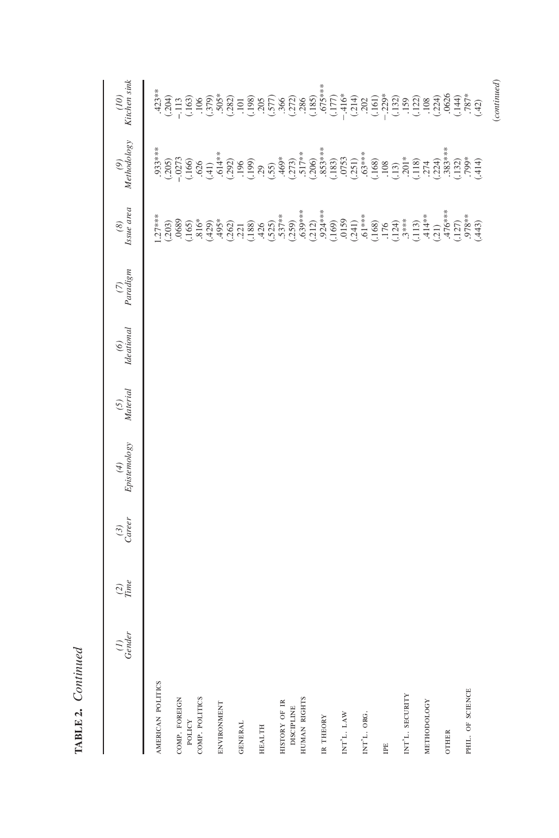|                   | $\frac{(1)}{Gender}$ | $\frac{(2)}{Time}$ | $\frac{(3)}{Career}$ | Epistemology<br>$(4)$ | $\frac{(5)}{Material}$ | $10^{6)}$<br>Ideational | $P$ ara $d$ igm | $(8)$ Issue area                                                                                                                                                                                                                                                                                                                                                                                                                      | $\begin{array}{c} (9) \\ Methodology \end{array}$                                                                                                                                                                                                                                                                                                                                                                                                                                                                                | $\begin{array}{c} (10) \\ Kitchen\,\,sink \end{array}$                                                                                                                                                                                                                                                                                                               |
|-------------------|----------------------|--------------------|----------------------|-----------------------|------------------------|-------------------------|-----------------|---------------------------------------------------------------------------------------------------------------------------------------------------------------------------------------------------------------------------------------------------------------------------------------------------------------------------------------------------------------------------------------------------------------------------------------|----------------------------------------------------------------------------------------------------------------------------------------------------------------------------------------------------------------------------------------------------------------------------------------------------------------------------------------------------------------------------------------------------------------------------------------------------------------------------------------------------------------------------------|----------------------------------------------------------------------------------------------------------------------------------------------------------------------------------------------------------------------------------------------------------------------------------------------------------------------------------------------------------------------|
| AMERICAN POLITICS |                      |                    |                      |                       |                        |                         |                 | $[1,108] \begin{array}{l} \stackrel{4}{\cancel{5}}\\[-2.08] \stackrel{4}{\cancel{5}}\\[-2.08] \stackrel{4}{\cancel{5}}\\[-2.08] \stackrel{4}{\cancel{5}}\\[-2.08] \stackrel{4}{\cancel{5}}\\[-2.08] \stackrel{4}{\cancel{5}}\\[-2.08] \stackrel{4}{\cancel{5}}\\[-2.08] \stackrel{4}{\cancel{5}}\\[-2.08] \stackrel{4}{\cancel{5}}\\[-2.08] \stackrel{4}{\cancel{5}}\\[-2.08] \stackrel{4}{\cancel{5}}\\[-2.08] \stackrel{4}{\cancel$ | $\begin{array}{l} \overset{\ast}{\mathfrak{g}}, \overset{\ast}{\mathfrak{g}}, \overset{\ast}{\mathfrak{g}}, \overset{\ast}{\mathfrak{g}}, \overset{\ast}{\mathfrak{g}}, \overset{\ast}{\mathfrak{g}}, \overset{\ast}{\mathfrak{g}}, \overset{\ast}{\mathfrak{g}}, \overset{\ast}{\mathfrak{g}}, \overset{\ast}{\mathfrak{g}}, \overset{\ast}{\mathfrak{g}}, \overset{\ast}{\mathfrak{g}}, \overset{\ast}{\mathfrak{g}}, \overset{\ast}{\mathfrak{g}}, \overset{\ast}{\mathfrak{g}}, \overset{\ast}{\mathfrak{g}}, \overset{\ast$ | $\ddot{\tilde{q}}_{3}^{*}\ddot{q}_{3}^{*}\ddot{q}_{3}^{*}\ddot{q}_{3}^{*}\ddot{q}_{3}^{*}\ddot{q}_{3}^{*}\ddot{q}_{3}^{*}\ddot{q}_{3}^{*}\ddot{q}_{3}^{*}\ddot{q}_{3}^{*}\ddot{q}_{3}^{*}\ddot{q}_{3}^{*}\ddot{q}_{3}^{*}\ddot{q}_{3}^{*}\ddot{q}_{3}^{*}\ddot{q}_{3}^{*}\ddot{q}_{3}^{*}\ddot{q}_{3}^{*}\ddot{q}_{3}^{*}\ddot{q}_{3}^{*}\ddot{q}_{3}^{*}\ddot{q}_{$ |
|                   |                      |                    |                      |                       |                        |                         |                 |                                                                                                                                                                                                                                                                                                                                                                                                                                       |                                                                                                                                                                                                                                                                                                                                                                                                                                                                                                                                  |                                                                                                                                                                                                                                                                                                                                                                      |
| COMP. FOREIGN     |                      |                    |                      |                       |                        |                         |                 |                                                                                                                                                                                                                                                                                                                                                                                                                                       |                                                                                                                                                                                                                                                                                                                                                                                                                                                                                                                                  |                                                                                                                                                                                                                                                                                                                                                                      |
| POLICY            |                      |                    |                      |                       |                        |                         |                 |                                                                                                                                                                                                                                                                                                                                                                                                                                       |                                                                                                                                                                                                                                                                                                                                                                                                                                                                                                                                  |                                                                                                                                                                                                                                                                                                                                                                      |
| COMP. POLITICS    |                      |                    |                      |                       |                        |                         |                 |                                                                                                                                                                                                                                                                                                                                                                                                                                       |                                                                                                                                                                                                                                                                                                                                                                                                                                                                                                                                  |                                                                                                                                                                                                                                                                                                                                                                      |
|                   |                      |                    |                      |                       |                        |                         |                 |                                                                                                                                                                                                                                                                                                                                                                                                                                       |                                                                                                                                                                                                                                                                                                                                                                                                                                                                                                                                  |                                                                                                                                                                                                                                                                                                                                                                      |
| ENVIRONMENT       |                      |                    |                      |                       |                        |                         |                 |                                                                                                                                                                                                                                                                                                                                                                                                                                       |                                                                                                                                                                                                                                                                                                                                                                                                                                                                                                                                  |                                                                                                                                                                                                                                                                                                                                                                      |
|                   |                      |                    |                      |                       |                        |                         |                 |                                                                                                                                                                                                                                                                                                                                                                                                                                       |                                                                                                                                                                                                                                                                                                                                                                                                                                                                                                                                  |                                                                                                                                                                                                                                                                                                                                                                      |
| <b>GENERAL</b>    |                      |                    |                      |                       |                        |                         |                 |                                                                                                                                                                                                                                                                                                                                                                                                                                       |                                                                                                                                                                                                                                                                                                                                                                                                                                                                                                                                  |                                                                                                                                                                                                                                                                                                                                                                      |
|                   |                      |                    |                      |                       |                        |                         |                 |                                                                                                                                                                                                                                                                                                                                                                                                                                       |                                                                                                                                                                                                                                                                                                                                                                                                                                                                                                                                  |                                                                                                                                                                                                                                                                                                                                                                      |
| <b>HEALTH</b>     |                      |                    |                      |                       |                        |                         |                 |                                                                                                                                                                                                                                                                                                                                                                                                                                       |                                                                                                                                                                                                                                                                                                                                                                                                                                                                                                                                  |                                                                                                                                                                                                                                                                                                                                                                      |
|                   |                      |                    |                      |                       |                        |                         |                 |                                                                                                                                                                                                                                                                                                                                                                                                                                       |                                                                                                                                                                                                                                                                                                                                                                                                                                                                                                                                  |                                                                                                                                                                                                                                                                                                                                                                      |
| HISTORY OF IR     |                      |                    |                      |                       |                        |                         |                 |                                                                                                                                                                                                                                                                                                                                                                                                                                       |                                                                                                                                                                                                                                                                                                                                                                                                                                                                                                                                  |                                                                                                                                                                                                                                                                                                                                                                      |
| <b>DISCIPLINE</b> |                      |                    |                      |                       |                        |                         |                 |                                                                                                                                                                                                                                                                                                                                                                                                                                       |                                                                                                                                                                                                                                                                                                                                                                                                                                                                                                                                  |                                                                                                                                                                                                                                                                                                                                                                      |
| HUMAN RIGHTS      |                      |                    |                      |                       |                        |                         |                 |                                                                                                                                                                                                                                                                                                                                                                                                                                       |                                                                                                                                                                                                                                                                                                                                                                                                                                                                                                                                  |                                                                                                                                                                                                                                                                                                                                                                      |
|                   |                      |                    |                      |                       |                        |                         |                 |                                                                                                                                                                                                                                                                                                                                                                                                                                       |                                                                                                                                                                                                                                                                                                                                                                                                                                                                                                                                  |                                                                                                                                                                                                                                                                                                                                                                      |
| IR THEORY         |                      |                    |                      |                       |                        |                         |                 |                                                                                                                                                                                                                                                                                                                                                                                                                                       |                                                                                                                                                                                                                                                                                                                                                                                                                                                                                                                                  |                                                                                                                                                                                                                                                                                                                                                                      |
|                   |                      |                    |                      |                       |                        |                         |                 |                                                                                                                                                                                                                                                                                                                                                                                                                                       |                                                                                                                                                                                                                                                                                                                                                                                                                                                                                                                                  |                                                                                                                                                                                                                                                                                                                                                                      |
| INT'L. LAW        |                      |                    |                      |                       |                        |                         |                 |                                                                                                                                                                                                                                                                                                                                                                                                                                       |                                                                                                                                                                                                                                                                                                                                                                                                                                                                                                                                  |                                                                                                                                                                                                                                                                                                                                                                      |
|                   |                      |                    |                      |                       |                        |                         |                 |                                                                                                                                                                                                                                                                                                                                                                                                                                       |                                                                                                                                                                                                                                                                                                                                                                                                                                                                                                                                  |                                                                                                                                                                                                                                                                                                                                                                      |
| INT'L. ORG.       |                      |                    |                      |                       |                        |                         |                 |                                                                                                                                                                                                                                                                                                                                                                                                                                       |                                                                                                                                                                                                                                                                                                                                                                                                                                                                                                                                  |                                                                                                                                                                                                                                                                                                                                                                      |
|                   |                      |                    |                      |                       |                        |                         |                 |                                                                                                                                                                                                                                                                                                                                                                                                                                       |                                                                                                                                                                                                                                                                                                                                                                                                                                                                                                                                  |                                                                                                                                                                                                                                                                                                                                                                      |
| IPE               |                      |                    |                      |                       |                        |                         |                 |                                                                                                                                                                                                                                                                                                                                                                                                                                       |                                                                                                                                                                                                                                                                                                                                                                                                                                                                                                                                  |                                                                                                                                                                                                                                                                                                                                                                      |
|                   |                      |                    |                      |                       |                        |                         |                 |                                                                                                                                                                                                                                                                                                                                                                                                                                       |                                                                                                                                                                                                                                                                                                                                                                                                                                                                                                                                  |                                                                                                                                                                                                                                                                                                                                                                      |
| INT'L. SECURITY   |                      |                    |                      |                       |                        |                         |                 |                                                                                                                                                                                                                                                                                                                                                                                                                                       |                                                                                                                                                                                                                                                                                                                                                                                                                                                                                                                                  |                                                                                                                                                                                                                                                                                                                                                                      |
|                   |                      |                    |                      |                       |                        |                         |                 |                                                                                                                                                                                                                                                                                                                                                                                                                                       |                                                                                                                                                                                                                                                                                                                                                                                                                                                                                                                                  |                                                                                                                                                                                                                                                                                                                                                                      |
| METHODOLOGY       |                      |                    |                      |                       |                        |                         |                 |                                                                                                                                                                                                                                                                                                                                                                                                                                       |                                                                                                                                                                                                                                                                                                                                                                                                                                                                                                                                  |                                                                                                                                                                                                                                                                                                                                                                      |
|                   |                      |                    |                      |                       |                        |                         |                 |                                                                                                                                                                                                                                                                                                                                                                                                                                       |                                                                                                                                                                                                                                                                                                                                                                                                                                                                                                                                  |                                                                                                                                                                                                                                                                                                                                                                      |
| <b>OTHER</b>      |                      |                    |                      |                       |                        |                         |                 |                                                                                                                                                                                                                                                                                                                                                                                                                                       |                                                                                                                                                                                                                                                                                                                                                                                                                                                                                                                                  |                                                                                                                                                                                                                                                                                                                                                                      |
|                   |                      |                    |                      |                       |                        |                         |                 |                                                                                                                                                                                                                                                                                                                                                                                                                                       |                                                                                                                                                                                                                                                                                                                                                                                                                                                                                                                                  |                                                                                                                                                                                                                                                                                                                                                                      |
| PHIL. OF SCIENCE  |                      |                    |                      |                       |                        |                         |                 |                                                                                                                                                                                                                                                                                                                                                                                                                                       |                                                                                                                                                                                                                                                                                                                                                                                                                                                                                                                                  |                                                                                                                                                                                                                                                                                                                                                                      |
|                   |                      |                    |                      |                       |                        |                         |                 |                                                                                                                                                                                                                                                                                                                                                                                                                                       |                                                                                                                                                                                                                                                                                                                                                                                                                                                                                                                                  |                                                                                                                                                                                                                                                                                                                                                                      |
|                   |                      |                    |                      |                       |                        |                         |                 |                                                                                                                                                                                                                                                                                                                                                                                                                                       |                                                                                                                                                                                                                                                                                                                                                                                                                                                                                                                                  | (continued)                                                                                                                                                                                                                                                                                                                                                          |

TABLE 2. Continued **TABLE 2.** *Continued*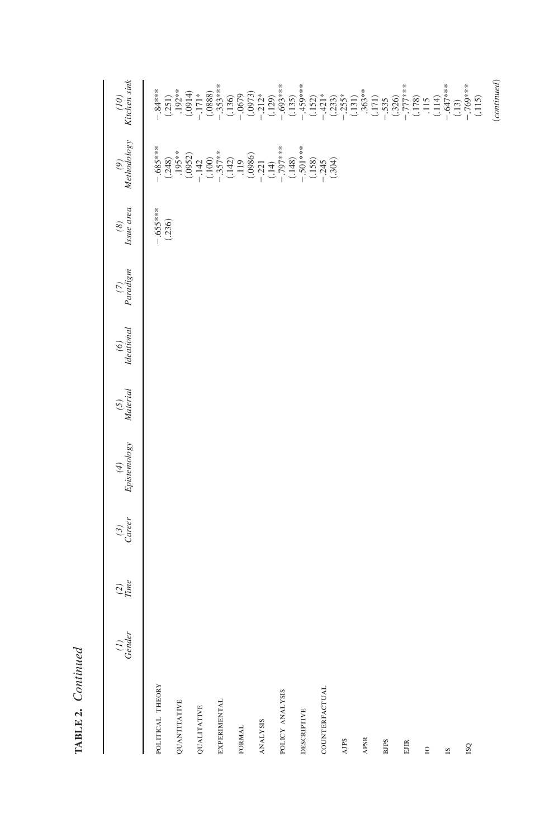|                     | $\frac{(1)}{Gender}$ | $\overset{(2)}{\tau}$ | $rac{(3)}{Career}$ | Epistemology<br>$(4)$ | $\frac{(5)}{Material}$ | $10^{6)}$<br>Ideational | Paradigm<br>$\circ$ | Issue area<br>$(\mathcal{S})$ | Methodogy                                                                                                                                                     | $\begin{array}{c} (10) \\ {\it Kirchen~sink} \end{array}$                                                                                                                                                                                                                                                                                                                                                                                                        |
|---------------------|----------------------|-----------------------|--------------------|-----------------------|------------------------|-------------------------|---------------------|-------------------------------|---------------------------------------------------------------------------------------------------------------------------------------------------------------|------------------------------------------------------------------------------------------------------------------------------------------------------------------------------------------------------------------------------------------------------------------------------------------------------------------------------------------------------------------------------------------------------------------------------------------------------------------|
| POLITICAL THEORY    |                      |                       |                    |                       |                        |                         |                     | $-655***$<br>(.236)           |                                                                                                                                                               |                                                                                                                                                                                                                                                                                                                                                                                                                                                                  |
| QUANTITATIVE        |                      |                       |                    |                       |                        |                         |                     |                               |                                                                                                                                                               |                                                                                                                                                                                                                                                                                                                                                                                                                                                                  |
| QUALITATIVE         |                      |                       |                    |                       |                        |                         |                     |                               |                                                                                                                                                               |                                                                                                                                                                                                                                                                                                                                                                                                                                                                  |
| <b>EXPERIMENTAL</b> |                      |                       |                    |                       |                        |                         |                     |                               |                                                                                                                                                               |                                                                                                                                                                                                                                                                                                                                                                                                                                                                  |
| FORMAL              |                      |                       |                    |                       |                        |                         |                     |                               |                                                                                                                                                               |                                                                                                                                                                                                                                                                                                                                                                                                                                                                  |
| <b>ANALYSIS</b>     |                      |                       |                    |                       |                        |                         |                     |                               |                                                                                                                                                               |                                                                                                                                                                                                                                                                                                                                                                                                                                                                  |
| POLICY ANALYSIS     |                      |                       |                    |                       |                        |                         |                     |                               |                                                                                                                                                               |                                                                                                                                                                                                                                                                                                                                                                                                                                                                  |
| <b>DESCRIPTIVE</b>  |                      |                       |                    |                       |                        |                         |                     |                               |                                                                                                                                                               |                                                                                                                                                                                                                                                                                                                                                                                                                                                                  |
| COUNTERFACTUAL      |                      |                       |                    |                       |                        |                         |                     |                               | $-685$<br>$(348)$<br>$(35)$<br>$(35)$<br>$(36)$<br>$(37)$<br>$(36)$<br>$(37)$<br>$(38)$<br>$(37)$<br>$(38)$<br>$(39)$<br>$(39)$<br>$(39)$<br>$(39)$<br>$(39)$ |                                                                                                                                                                                                                                                                                                                                                                                                                                                                  |
| <b>AJPS</b>         |                      |                       |                    |                       |                        |                         |                     |                               |                                                                                                                                                               |                                                                                                                                                                                                                                                                                                                                                                                                                                                                  |
| APSR                |                      |                       |                    |                       |                        |                         |                     |                               |                                                                                                                                                               |                                                                                                                                                                                                                                                                                                                                                                                                                                                                  |
| <b>BJPS</b>         |                      |                       |                    |                       |                        |                         |                     |                               |                                                                                                                                                               |                                                                                                                                                                                                                                                                                                                                                                                                                                                                  |
| EJIR                |                      |                       |                    |                       |                        |                         |                     |                               |                                                                                                                                                               |                                                                                                                                                                                                                                                                                                                                                                                                                                                                  |
| $\overline{a}$      |                      |                       |                    |                       |                        |                         |                     |                               |                                                                                                                                                               |                                                                                                                                                                                                                                                                                                                                                                                                                                                                  |
| $\overline{1}S$     |                      |                       |                    |                       |                        |                         |                     |                               |                                                                                                                                                               |                                                                                                                                                                                                                                                                                                                                                                                                                                                                  |
| <b>ISQ</b>          |                      |                       |                    |                       |                        |                         |                     |                               |                                                                                                                                                               | $\begin{array}{l} \overset{4}{\cancel{.}}\overset{4}{\cancel{.}}\left(2,0\right)\\ \overset{4}{\cancel{.}}\left(3,0\right)\\ \overset{4}{\cancel{.}}\left(3,0\right)\\ \overset{4}{\cancel{.}}\left(3,0\right)\\ \overset{4}{\cancel{.}}\left(3,0\right)\\ \overset{4}{\cancel{.}}\left(3,0\right)\\ \overset{4}{\cancel{.}}\left(3,0\right)\\ \overset{4}{\cancel{.}}\left(3,0\right)\\ \overset{4}{\cancel{.}}\left(3,0\right)\\ \overset{4}{\cancel{.}}\left$ |
|                     |                      |                       |                    |                       |                        |                         |                     |                               |                                                                                                                                                               | $\label{eq:constrained} (continued)$                                                                                                                                                                                                                                                                                                                                                                                                                             |

TABLE 2. Continued **TABLE 2.** *Continued*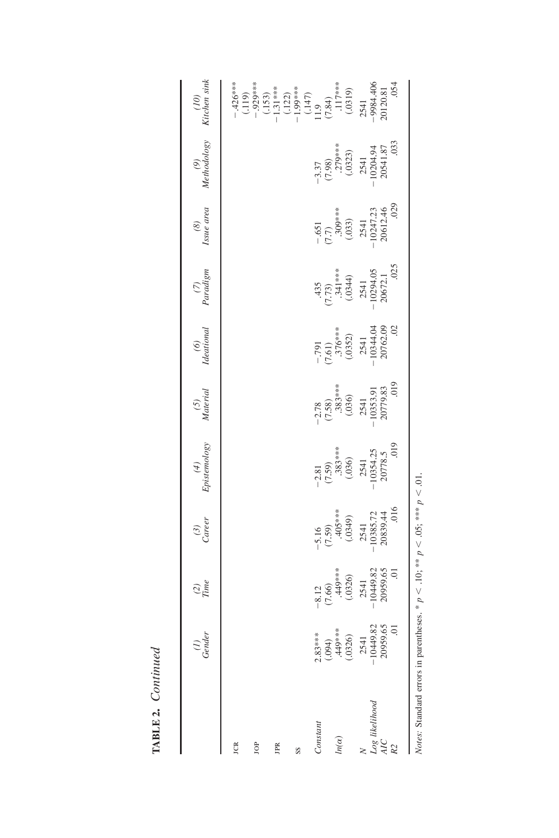TABLE 2. Continued **TABLE 2.** *Continued*

|                                | $\frac{(1)}{Gender}$                                                                                                                                                                                                                                                                                                                                                                                   | $\frac{2}{Time}$                                                                                                 | $\frac{(3)}{Career}$                                                                           | $E$ pistemology                                                                                            | $\frac{(5)}{Material}$                                                                                     | $10(a)$<br>$10(a)$                                                                                           | $P^{(7)}_{\mathit{andigm}}$                                                                        | $(s)$<br>Issue area                                                                                                                 | $\begin{array}{c} (9) \\ Methodology \end{array}$                                                                                                    | $\begin{array}{c} (10) \\ {\it Kirchen~sink} \end{array}$ |
|--------------------------------|--------------------------------------------------------------------------------------------------------------------------------------------------------------------------------------------------------------------------------------------------------------------------------------------------------------------------------------------------------------------------------------------------------|------------------------------------------------------------------------------------------------------------------|------------------------------------------------------------------------------------------------|------------------------------------------------------------------------------------------------------------|------------------------------------------------------------------------------------------------------------|--------------------------------------------------------------------------------------------------------------|----------------------------------------------------------------------------------------------------|-------------------------------------------------------------------------------------------------------------------------------------|------------------------------------------------------------------------------------------------------------------------------------------------------|-----------------------------------------------------------|
| JCR                            |                                                                                                                                                                                                                                                                                                                                                                                                        |                                                                                                                  |                                                                                                |                                                                                                            |                                                                                                            |                                                                                                              |                                                                                                    |                                                                                                                                     |                                                                                                                                                      |                                                           |
| <b>JOP</b>                     |                                                                                                                                                                                                                                                                                                                                                                                                        |                                                                                                                  |                                                                                                |                                                                                                            |                                                                                                            |                                                                                                              |                                                                                                    |                                                                                                                                     |                                                                                                                                                      |                                                           |
| JPR                            |                                                                                                                                                                                                                                                                                                                                                                                                        |                                                                                                                  |                                                                                                |                                                                                                            |                                                                                                            |                                                                                                              |                                                                                                    |                                                                                                                                     |                                                                                                                                                      |                                                           |
| SS                             |                                                                                                                                                                                                                                                                                                                                                                                                        |                                                                                                                  |                                                                                                |                                                                                                            |                                                                                                            |                                                                                                              |                                                                                                    |                                                                                                                                     |                                                                                                                                                      |                                                           |
| Constant                       |                                                                                                                                                                                                                                                                                                                                                                                                        |                                                                                                                  |                                                                                                |                                                                                                            |                                                                                                            |                                                                                                              |                                                                                                    |                                                                                                                                     |                                                                                                                                                      |                                                           |
| $ln(\alpha)$                   | $\begin{array}{r} 2.83 \\ \text{(.94)} \\ \text{(.95)} \\ \text{(.97)} \\ \text{(.926)} \\ \text{(.926)} \\ \text{(.927)} \\ \text{(.937)} \\ \text{(.949.82)} \\ \text{(.949.82)} \\ \text{(.949.83)} \\ \text{(.949.83)} \\ \text{(.949.85)} \\ \text{(.949.87)} \\ \text{(.949.87)} \\ \text{(.949.87)} \\ \text{(.949.87)} \\ \text{(.949.87)} \\ \text{(.949.88)} \\ \text{(.949.87)} \\ \text{($ | $\begin{array}{l} -8.12\\ (7.66)\\ (49***\\ (0326)\\ (0326)\\ 2541\\ 10449.82\\ 10449.82\\ 20959.65 \end{array}$ | $-5.16$<br>$(7.59)$<br>$(405***$<br>$(0349)$<br>$(0340)$<br>$2541$<br>$10385.72$<br>$20839.44$ | $-2.81$<br>$(7.59)$<br>$.383***$<br>$.383***$<br>$.036)$<br>$(0.36)$<br>$2.541$<br>$10354.25$<br>$20778.5$ | $-2.78$<br>$(7.58)$<br>$.383***$<br>$.383***$<br>$.383***$<br>$.036$<br>$.036$<br>$20779.83$<br>$20779.83$ | $\begin{array}{c} -.791 \\ -.791 \\ .376*** \\ .0352) \\ .0352) \\ 2541 \\ 20762.09 \\ 20762.09 \end{array}$ | $(7.73)$<br>$(3.41***$<br>$(0.344)$<br>$(0.0344)$<br>$2541$<br>$10294.05$<br>$10294.05$<br>20672.1 | $\begin{array}{c} -.651 \\ (7.7) \\ .309*** \\ .309*** \\ .3033) \\ (0.33) \\ 2541 \\ 10247.23 \\ 20612.46 \\ 20612.46 \end{array}$ | $\begin{array}{r} -3.37 \\ (7.98) \\ .279*** \\ .379*** \\ .379*** \\ .2541 \\ .2541 \\ 10204.94 \\ 20541.87 \\ 20541.87 \\ 20541.87 \\ \end{array}$ |                                                           |
|                                |                                                                                                                                                                                                                                                                                                                                                                                                        |                                                                                                                  |                                                                                                |                                                                                                            |                                                                                                            |                                                                                                              |                                                                                                    |                                                                                                                                     |                                                                                                                                                      |                                                           |
| $\frac{\log$ likelihood<br>AIC |                                                                                                                                                                                                                                                                                                                                                                                                        |                                                                                                                  |                                                                                                |                                                                                                            |                                                                                                            |                                                                                                              |                                                                                                    |                                                                                                                                     |                                                                                                                                                      |                                                           |
|                                |                                                                                                                                                                                                                                                                                                                                                                                                        |                                                                                                                  |                                                                                                |                                                                                                            |                                                                                                            |                                                                                                              |                                                                                                    |                                                                                                                                     |                                                                                                                                                      |                                                           |

*Notes:* Standard errors in parentheses. \*  $p < .10$ ; \*\*  $p < .05$ ; \*\*\*  $p < .01$ . *Notes:* Standard errors in parentheses. \*  $p < 10$ ; \*\*\*  $p < 0.95$ ; \*\*\*  $p < 0.1$ .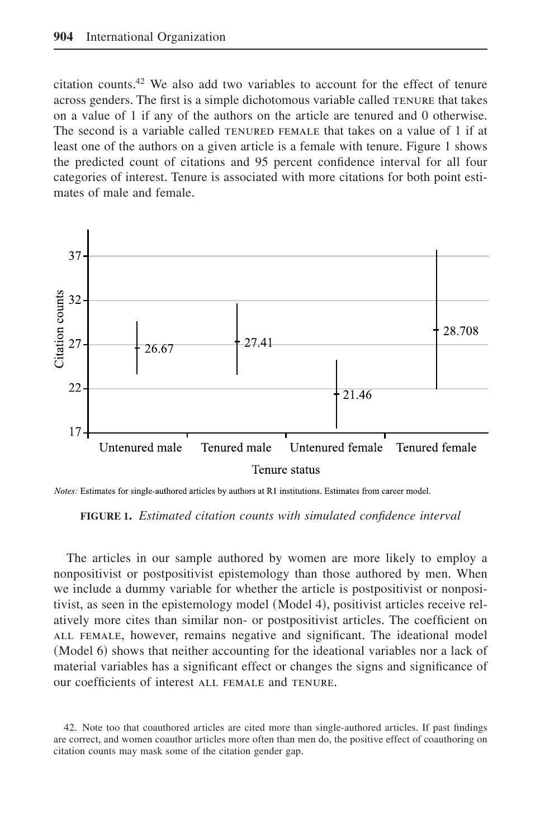citation counts.<sup>42</sup> We also add two variables to account for the effect of tenure across genders. The first is a simple dichotomous variable called TENURE that takes on a value of  $1$  if any of the authors on the article are tenured and  $0$  otherwise. The second is a variable called TENURED FEMALE that takes on a value of 1 if at least one of the authors on a given article is a female with tenure. Figure 1 shows the predicted count of citations and 95 percent confidence interval for all four categories of interest. Tenure is associated with more citations for both point estimates of male and female.



Notes: Estimates for single-authored articles by authors at R1 institutions. Estimates from career model.

#### **FIGURE 1.** *Estimated citation counts with simulated confidence interval*

The articles in our sample authored by women are more likely to employ a nonpositivist or postpositivist epistemology than those authored by men. When we include a dummy variable for whether the article is postpositivist or nonpositivist, as seen in the epistemology model (Model 4), positivist articles receive relatively more cites than similar non- or postpositivist articles+ The coefficient on ALL FEMALE, however, remains negative and significant. The ideational model (Model 6) shows that neither accounting for the ideational variables nor a lack of material variables has a significant effect or changes the signs and significance of our coefficients of interest ALL FEMALE and TENURE.

<sup>42.</sup> Note too that coauthored articles are cited more than single-authored articles. If past findings are correct, and women coauthor articles more often than men do, the positive effect of coauthoring on citation counts may mask some of the citation gender gap+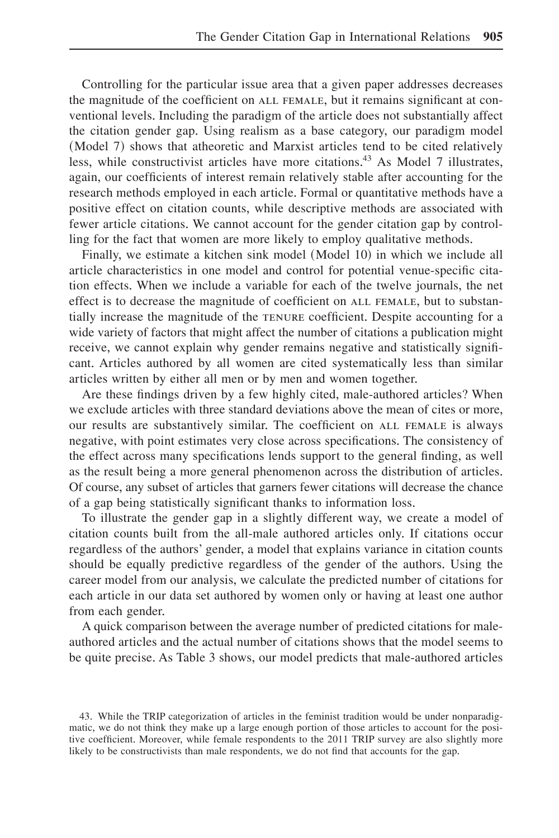Controlling for the particular issue area that a given paper addresses decreases the magnitude of the coefficient on all female, but it remains significant at conventional levels. Including the paradigm of the article does not substantially affect the citation gender gap. Using realism as a base category, our paradigm model (Model 7) shows that atheoretic and Marxist articles tend to be cited relatively less, while constructivist articles have more citations.<sup>43</sup> As Model 7 illustrates, again, our coefficients of interest remain relatively stable after accounting for the research methods employed in each article. Formal or quantitative methods have a positive effect on citation counts, while descriptive methods are associated with fewer article citations. We cannot account for the gender citation gap by controlling for the fact that women are more likely to employ qualitative methods.

Finally, we estimate a kitchen sink model (Model 10) in which we include all article characteristics in one model and control for potential venue-specific citation effects. When we include a variable for each of the twelve journals, the net effect is to decrease the magnitude of coefficient on all female, but to substantially increase the magnitude of the TENURE coefficient. Despite accounting for a wide variety of factors that might affect the number of citations a publication might receive, we cannot explain why gender remains negative and statistically significant. Articles authored by all women are cited systematically less than similar articles written by either all men or by men and women together.

Are these findings driven by a few highly cited, male-authored articles? When we exclude articles with three standard deviations above the mean of cites or more, our results are substantively similar. The coefficient on ALL FEMALE is always negative, with point estimates very close across specifications. The consistency of the effect across many specifications lends support to the general finding, as well as the result being a more general phenomenon across the distribution of articles. Of course, any subset of articles that garners fewer citations will decrease the chance of a gap being statistically significant thanks to information loss+

To illustrate the gender gap in a slightly different way, we create a model of citation counts built from the all-male authored articles only+ If citations occur regardless of the authors' gender, a model that explains variance in citation counts should be equally predictive regardless of the gender of the authors. Using the career model from our analysis, we calculate the predicted number of citations for each article in our data set authored by women only or having at least one author from each gender.

A quick comparison between the average number of predicted citations for maleauthored articles and the actual number of citations shows that the model seems to be quite precise. As Table 3 shows, our model predicts that male-authored articles

<sup>43.</sup> While the TRIP categorization of articles in the feminist tradition would be under nonparadigmatic, we do not think they make up a large enough portion of those articles to account for the positive coefficient. Moreover, while female respondents to the 2011 TRIP survey are also slightly more likely to be constructivists than male respondents, we do not find that accounts for the gap.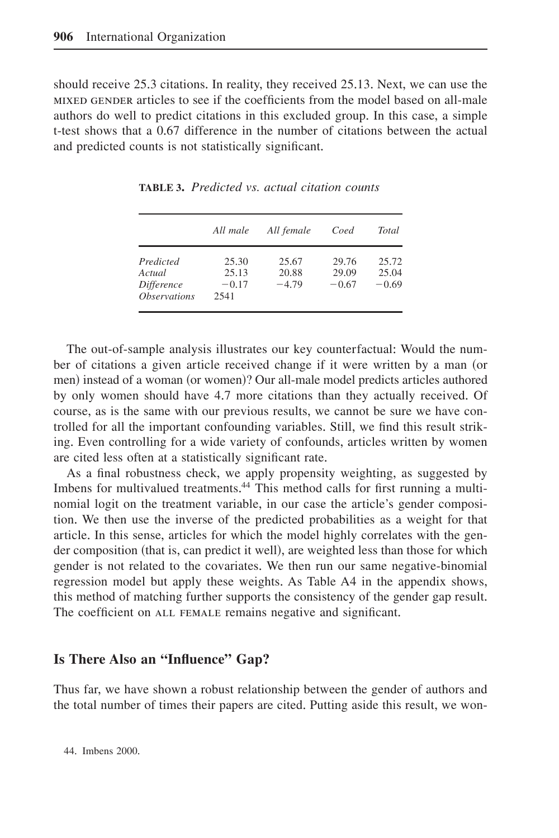should receive 25.3 citations. In reality, they received 25.13. Next, we can use the mixed gender articles to see if the coefficients from the model based on all-male authors do well to predict citations in this excluded group. In this case, a simple t-test shows that a 0.67 difference in the number of citations between the actual and predicted counts is not statistically significant.

|                                                 | All male        | All female | Coed    | Total   |
|-------------------------------------------------|-----------------|------------|---------|---------|
| Predicted                                       | 25.30           | 25.67      | 29.76   | 25.72   |
| Actual                                          | 25.13           | 20.88      | 29.09   | 25.04   |
| <i>Difference</i><br><i><b>Observations</b></i> | $-0.17$<br>2541 | $-4.79$    | $-0.67$ | $-0.69$ |

**TABLE 3.** *Predicted vs. actual citation counts*

The out-of-sample analysis illustrates our key counterfactual: Would the number of citations a given article received change if it were written by a man (or men) instead of a woman (or women)? Our all-male model predicts articles authored by only women should have 4.7 more citations than they actually received. Of course, as is the same with our previous results, we cannot be sure we have controlled for all the important confounding variables. Still, we find this result striking. Even controlling for a wide variety of confounds, articles written by women are cited less often at a statistically significant rate.

As a final robustness check, we apply propensity weighting, as suggested by Imbens for multivalued treatments.<sup>44</sup> This method calls for first running a multinomial logit on the treatment variable, in our case the article's gender composition. We then use the inverse of the predicted probabilities as a weight for that article. In this sense, articles for which the model highly correlates with the gender composition (that is, can predict it well), are weighted less than those for which gender is not related to the covariates. We then run our same negative-binomial regression model but apply these weights. As Table A4 in the appendix shows, this method of matching further supports the consistency of the gender gap result. The coefficient on ALL FEMALE remains negative and significant.

## **Is There Also an "Influence" Gap?**

Thus far, we have shown a robust relationship between the gender of authors and the total number of times their papers are cited+ Putting aside this result, we won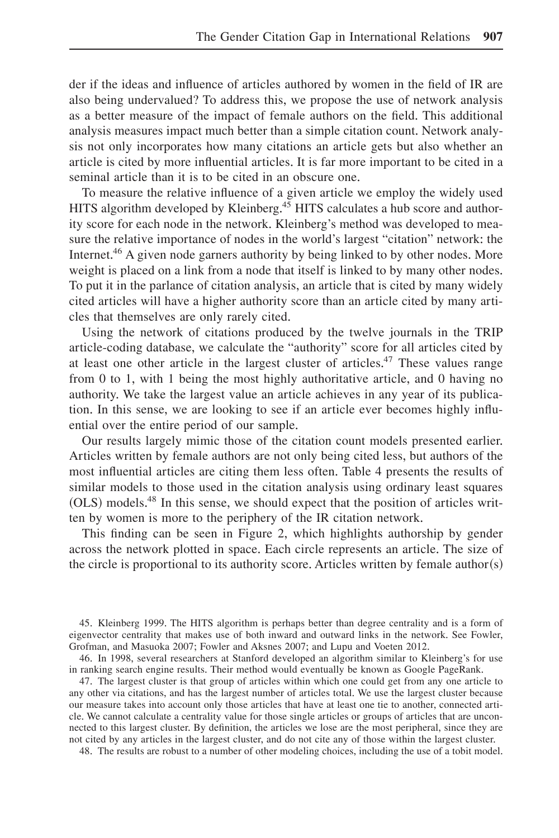der if the ideas and influence of articles authored by women in the field of IR are also being undervalued? To address this, we propose the use of network analysis as a better measure of the impact of female authors on the field+ This additional analysis measures impact much better than a simple citation count. Network analysis not only incorporates how many citations an article gets but also whether an article is cited by more influential articles. It is far more important to be cited in a seminal article than it is to be cited in an obscure one.

To measure the relative influence of a given article we employ the widely used HITS algorithm developed by Kleinberg.<sup>45</sup> HITS calculates a hub score and authority score for each node in the network. Kleinberg's method was developed to measure the relative importance of nodes in the world's largest "citation" network: the Internet.<sup>46</sup> A given node garners authority by being linked to by other nodes. More weight is placed on a link from a node that itself is linked to by many other nodes. To put it in the parlance of citation analysis, an article that is cited by many widely cited articles will have a higher authority score than an article cited by many articles that themselves are only rarely cited.

Using the network of citations produced by the twelve journals in the TRIP article-coding database, we calculate the "authority" score for all articles cited by at least one other article in the largest cluster of articles.<sup>47</sup> These values range from 0 to 1, with 1 being the most highly authoritative article, and 0 having no authority. We take the largest value an article achieves in any year of its publication. In this sense, we are looking to see if an article ever becomes highly influential over the entire period of our sample.

Our results largely mimic those of the citation count models presented earlier. Articles written by female authors are not only being cited less, but authors of the most influential articles are citing them less often. Table 4 presents the results of similar models to those used in the citation analysis using ordinary least squares (OLS) models.<sup>48</sup> In this sense, we should expect that the position of articles written by women is more to the periphery of the IR citation network.

This finding can be seen in Figure 2, which highlights authorship by gender across the network plotted in space. Each circle represents an article. The size of the circle is proportional to its authority score. Articles written by female author $(s)$ 

45. Kleinberg 1999. The HITS algorithm is perhaps better than degree centrality and is a form of eigenvector centrality that makes use of both inward and outward links in the network. See Fowler, Grofman, and Masuoka 2007; Fowler and Aksnes 2007; and Lupu and Voeten 2012+

46. In 1998, several researchers at Stanford developed an algorithm similar to Kleinberg's for use in ranking search engine results. Their method would eventually be known as Google PageRank.

47. The largest cluster is that group of articles within which one could get from any one article to any other via citations, and has the largest number of articles total. We use the largest cluster because our measure takes into account only those articles that have at least one tie to another, connected article. We cannot calculate a centrality value for those single articles or groups of articles that are unconnected to this largest cluster. By definition, the articles we lose are the most peripheral, since they are not cited by any articles in the largest cluster, and do not cite any of those within the largest cluster.

48. The results are robust to a number of other modeling choices, including the use of a tobit model.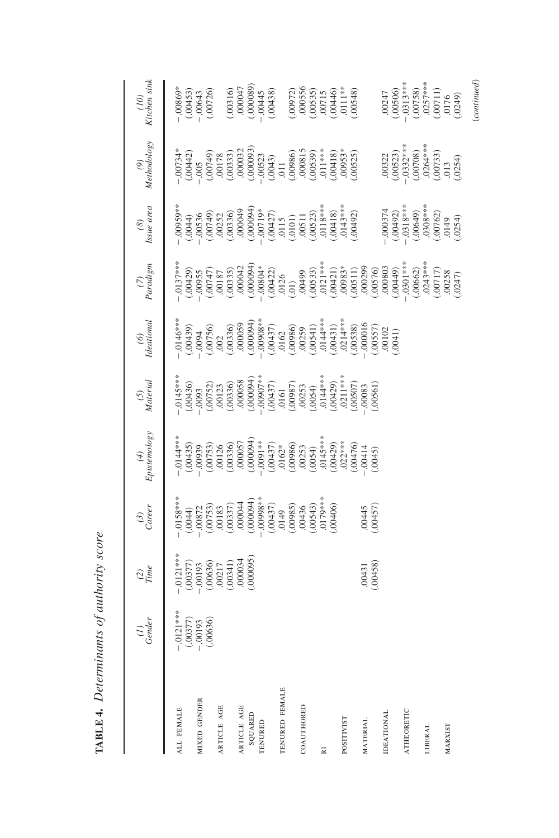|                | $\frac{(1)}{Gender}$                                   | $\overset{(2)}{\tau}$                                                                                                                                                                                                                                                                                             | $\frac{(3)}{Career}$                                                                                                                                                                                                                                                                                             | Epistemology                                                                                                                                                                                                                                                                                                                 | $\frac{(5)}{Material}$                                                                                                                                                                                                                                                                                                 | $10$<br>$10$<br>$10$                                                                                                                                                                                                                                                                                              | Panadigm                                                                                                                                                                                                                                                                                                      | Issue area<br>(8)                                                                                                                                                                                                                                                                             | Methodology                                                                                                                                                                                                                                                                                         | (10)<br>Kitchen sink                                                                                                                  |
|----------------|--------------------------------------------------------|-------------------------------------------------------------------------------------------------------------------------------------------------------------------------------------------------------------------------------------------------------------------------------------------------------------------|------------------------------------------------------------------------------------------------------------------------------------------------------------------------------------------------------------------------------------------------------------------------------------------------------------------|------------------------------------------------------------------------------------------------------------------------------------------------------------------------------------------------------------------------------------------------------------------------------------------------------------------------------|------------------------------------------------------------------------------------------------------------------------------------------------------------------------------------------------------------------------------------------------------------------------------------------------------------------------|-------------------------------------------------------------------------------------------------------------------------------------------------------------------------------------------------------------------------------------------------------------------------------------------------------------------|---------------------------------------------------------------------------------------------------------------------------------------------------------------------------------------------------------------------------------------------------------------------------------------------------------------|-----------------------------------------------------------------------------------------------------------------------------------------------------------------------------------------------------------------------------------------------------------------------------------------------|-----------------------------------------------------------------------------------------------------------------------------------------------------------------------------------------------------------------------------------------------------------------------------------------------------|---------------------------------------------------------------------------------------------------------------------------------------|
| ALL FEMALE     | $-0.121***$<br>$(0.00377)$<br>$-0.0193$<br>$(0.00636)$ |                                                                                                                                                                                                                                                                                                                   |                                                                                                                                                                                                                                                                                                                  |                                                                                                                                                                                                                                                                                                                              |                                                                                                                                                                                                                                                                                                                        |                                                                                                                                                                                                                                                                                                                   |                                                                                                                                                                                                                                                                                                               |                                                                                                                                                                                                                                                                                               |                                                                                                                                                                                                                                                                                                     | $-00869*$<br>$(.00453)$<br>$-00643$<br>$(.00726)$                                                                                     |
| MIXED GENDER   |                                                        |                                                                                                                                                                                                                                                                                                                   |                                                                                                                                                                                                                                                                                                                  |                                                                                                                                                                                                                                                                                                                              |                                                                                                                                                                                                                                                                                                                        |                                                                                                                                                                                                                                                                                                                   |                                                                                                                                                                                                                                                                                                               |                                                                                                                                                                                                                                                                                               |                                                                                                                                                                                                                                                                                                     |                                                                                                                                       |
| ARTICLE AGE    |                                                        | $\begin{array}{l} -0121**\\ (-00377)\\ (-00377)\\ (-00193\\ (-00636)\\ (-00636)\\ (-00341)\\ (-000034)\\ (-000034)\\ (-000034)\\ (-00003)\\ (-000036)\\ (-000036)\\ (-000036)\\ (-000036)\\ (-000036)\\ (-000036)\\ (-000036)\\ (-000036)\\ (-000036)\\ (-000036)\\ (-000036)\\ (-000036)\\ (-000036)\\ (-000036$ | $\begin{array}{r} -0.158^{***} \\ -0.0644 \\ -0.0074 \\ -0.0037 \\ -0.00337 \\ -0.00004 \\ -0.00004 \\ -0.00004 \\ -0.00004 \\ -0.00004 \\ -0.00004 \\ -0.00004 \\ -0.00004 \\ -0.00004 \\ -0.00004 \\ -0.00004 \\ -0.00004 \\ -0.00004 \\ -0.00004 \\ -0.00004 \\ -0.00004 \\ -0.00004 \\ -0.00004 \\ -0.00004$ | $\begin{array}{l} (5.0414) \\ (-1.0414) \\ (-1.00414) \\ (-1.00414) \\ (-1.00414) \\ (-1.00414) \\ (-1.00414) \\ (-1.00414) \\ (-1.00414) \\ (-1.00414) \\ (-1.00414) \\ (-1.00414) \\ (-1.00414) \\ (-1.00414) \\ (-1.00414) \\ (-1.00414) \\ (-1.00414) \\ (-1.00414) \\ (-1.00414) \\ (-1.00414) \\ (-1.00414) \\ (-1.00$ | $\begin{array}{r} -0.145^{***} \\ -0.00450 \\ -0.00350 \\ -0.00350 \\ -0.00350 \\ -0.000036 \\ -0.00000 \\ -0.00000 \\ -0.00000 \\ -0.0000 \\ -0.0000 \\ -0.0003 \\ -0.0003 \\ -0.0003 \\ -0.0003 \\ -0.0003 \\ -0.0003 \\ -0.0003 \\ -0.0003 \\ -0.0003 \\ -0.0003 \\ -0.0003 \\ -0.0003 \\ -0.0003 \\ -0.0003 \\ -0$ | $\begin{array}{r} -0.146_{2}^{***} \\ -0.00439 \\ -0.00756 \\ -0.00356 \\ -0.00356 \\ -0.00094 \\ -0.00094 \\ -0.00094 \\ -0.00094 \\ -0.00094 \\ -0.00094 \\ -0.000094 \\ -0.000094 \\ -0.000094 \\ -0.00000 \\ -0.00000 \\ -0.00000 \\ -0.0001 \\ -0.0001 \\ -0.0001 \\ -0.0001 \\ -0.0001 \\ -0.0001 \\ -0.00$ | $\begin{array}{l} -1.137^{*}_{1} \\ -0.0429 \\ -0.0335 \\ -0.0335 \\ -0.0335 \\ -0.00335 \\ -0.000042 \\ -0.000042 \\ -0.000042 \\ -0.000004 \\ -0.000004 \\ -0.000004 \\ -0.000000 \\ -0.000000 \\ -0.000000 \\ -0.000000 \\ -0.000000 \\ -0.000000 \\ -0.000000 \\ -0.000000 \\ -0.00000 \\ -0.00000 \\ -0$ | $\begin{array}{ll} -0.0959^{*}\\ -0.0954\\ -0.0536\\ -0.0536\\ -0.0356\\ -0.0036\\ -0.00194\\ -0.00194\\ -0.00194\\ -0.00194\\ -0.00194\\ -0.0010\\ -0.0010\\ -0.0010\\ -0.0010\\ -0.0010\\ -0.0010\\ -0.0010\\ -0.0010\\ -0.0010\\ -0.0010\\ -0.0010\\ -0.0010\\ -0.0010\\ -0.0010\\ -0.001$ | $\begin{array}{ll} -00734^{*}\\ -007420\\ -000420\\ -000733\\ -00000033\\ -00000033\\ -0000033\\ -0000033\\ -0000033\\ -000000\\ -000000\\ -000000\\ -000000\\ -00000\\ -00000\\ -00000\\ -00000\\ -00000\\ -00000\\ -00000\\ -0000\\ -0000\\ -0000\\ -0000\\ -0000\\ -0000\\ -0000\\ -0000\\ -000$ |                                                                                                                                       |
|                |                                                        |                                                                                                                                                                                                                                                                                                                   |                                                                                                                                                                                                                                                                                                                  |                                                                                                                                                                                                                                                                                                                              |                                                                                                                                                                                                                                                                                                                        |                                                                                                                                                                                                                                                                                                                   |                                                                                                                                                                                                                                                                                                               |                                                                                                                                                                                                                                                                                               |                                                                                                                                                                                                                                                                                                     | $\begin{array}{c} (00316) \\ (000047) \\ (00006) \\ (000089) \\ (-0045) \\ (00438) \end{array}$                                       |
| ARTICLE AGE    |                                                        |                                                                                                                                                                                                                                                                                                                   |                                                                                                                                                                                                                                                                                                                  |                                                                                                                                                                                                                                                                                                                              |                                                                                                                                                                                                                                                                                                                        |                                                                                                                                                                                                                                                                                                                   |                                                                                                                                                                                                                                                                                                               |                                                                                                                                                                                                                                                                                               |                                                                                                                                                                                                                                                                                                     |                                                                                                                                       |
| SQUARED        |                                                        |                                                                                                                                                                                                                                                                                                                   |                                                                                                                                                                                                                                                                                                                  |                                                                                                                                                                                                                                                                                                                              |                                                                                                                                                                                                                                                                                                                        |                                                                                                                                                                                                                                                                                                                   |                                                                                                                                                                                                                                                                                                               |                                                                                                                                                                                                                                                                                               |                                                                                                                                                                                                                                                                                                     |                                                                                                                                       |
| TENURED        |                                                        |                                                                                                                                                                                                                                                                                                                   |                                                                                                                                                                                                                                                                                                                  |                                                                                                                                                                                                                                                                                                                              |                                                                                                                                                                                                                                                                                                                        |                                                                                                                                                                                                                                                                                                                   |                                                                                                                                                                                                                                                                                                               |                                                                                                                                                                                                                                                                                               |                                                                                                                                                                                                                                                                                                     |                                                                                                                                       |
|                |                                                        |                                                                                                                                                                                                                                                                                                                   |                                                                                                                                                                                                                                                                                                                  |                                                                                                                                                                                                                                                                                                                              |                                                                                                                                                                                                                                                                                                                        |                                                                                                                                                                                                                                                                                                                   |                                                                                                                                                                                                                                                                                                               |                                                                                                                                                                                                                                                                                               |                                                                                                                                                                                                                                                                                                     |                                                                                                                                       |
| TENURED FEMALE |                                                        |                                                                                                                                                                                                                                                                                                                   |                                                                                                                                                                                                                                                                                                                  |                                                                                                                                                                                                                                                                                                                              |                                                                                                                                                                                                                                                                                                                        |                                                                                                                                                                                                                                                                                                                   |                                                                                                                                                                                                                                                                                                               |                                                                                                                                                                                                                                                                                               |                                                                                                                                                                                                                                                                                                     |                                                                                                                                       |
|                |                                                        |                                                                                                                                                                                                                                                                                                                   |                                                                                                                                                                                                                                                                                                                  |                                                                                                                                                                                                                                                                                                                              |                                                                                                                                                                                                                                                                                                                        |                                                                                                                                                                                                                                                                                                                   |                                                                                                                                                                                                                                                                                                               |                                                                                                                                                                                                                                                                                               |                                                                                                                                                                                                                                                                                                     |                                                                                                                                       |
| COAUTHORED     |                                                        |                                                                                                                                                                                                                                                                                                                   |                                                                                                                                                                                                                                                                                                                  |                                                                                                                                                                                                                                                                                                                              |                                                                                                                                                                                                                                                                                                                        |                                                                                                                                                                                                                                                                                                                   |                                                                                                                                                                                                                                                                                                               |                                                                                                                                                                                                                                                                                               |                                                                                                                                                                                                                                                                                                     |                                                                                                                                       |
| $\overline{R}$ |                                                        |                                                                                                                                                                                                                                                                                                                   |                                                                                                                                                                                                                                                                                                                  |                                                                                                                                                                                                                                                                                                                              |                                                                                                                                                                                                                                                                                                                        |                                                                                                                                                                                                                                                                                                                   |                                                                                                                                                                                                                                                                                                               |                                                                                                                                                                                                                                                                                               |                                                                                                                                                                                                                                                                                                     | $(3005)$<br>$(0.00535)$<br>$(0.00535)$<br>$(0.0046)$<br>$(0.0046)$<br>$(0.00548)$                                                     |
|                |                                                        |                                                                                                                                                                                                                                                                                                                   |                                                                                                                                                                                                                                                                                                                  |                                                                                                                                                                                                                                                                                                                              |                                                                                                                                                                                                                                                                                                                        |                                                                                                                                                                                                                                                                                                                   |                                                                                                                                                                                                                                                                                                               |                                                                                                                                                                                                                                                                                               |                                                                                                                                                                                                                                                                                                     |                                                                                                                                       |
| POSITIVIST     |                                                        |                                                                                                                                                                                                                                                                                                                   |                                                                                                                                                                                                                                                                                                                  |                                                                                                                                                                                                                                                                                                                              |                                                                                                                                                                                                                                                                                                                        |                                                                                                                                                                                                                                                                                                                   |                                                                                                                                                                                                                                                                                                               |                                                                                                                                                                                                                                                                                               |                                                                                                                                                                                                                                                                                                     |                                                                                                                                       |
|                |                                                        |                                                                                                                                                                                                                                                                                                                   |                                                                                                                                                                                                                                                                                                                  |                                                                                                                                                                                                                                                                                                                              |                                                                                                                                                                                                                                                                                                                        |                                                                                                                                                                                                                                                                                                                   |                                                                                                                                                                                                                                                                                                               |                                                                                                                                                                                                                                                                                               |                                                                                                                                                                                                                                                                                                     |                                                                                                                                       |
| MATERIAL       |                                                        | $(00431)$<br>(.00458)                                                                                                                                                                                                                                                                                             | $(0.0445)$<br>(.00457)                                                                                                                                                                                                                                                                                           |                                                                                                                                                                                                                                                                                                                              |                                                                                                                                                                                                                                                                                                                        |                                                                                                                                                                                                                                                                                                                   |                                                                                                                                                                                                                                                                                                               |                                                                                                                                                                                                                                                                                               |                                                                                                                                                                                                                                                                                                     |                                                                                                                                       |
| IDEATIONAL     |                                                        |                                                                                                                                                                                                                                                                                                                   |                                                                                                                                                                                                                                                                                                                  |                                                                                                                                                                                                                                                                                                                              |                                                                                                                                                                                                                                                                                                                        |                                                                                                                                                                                                                                                                                                                   |                                                                                                                                                                                                                                                                                                               |                                                                                                                                                                                                                                                                                               |                                                                                                                                                                                                                                                                                                     |                                                                                                                                       |
|                |                                                        |                                                                                                                                                                                                                                                                                                                   |                                                                                                                                                                                                                                                                                                                  |                                                                                                                                                                                                                                                                                                                              |                                                                                                                                                                                                                                                                                                                        |                                                                                                                                                                                                                                                                                                                   |                                                                                                                                                                                                                                                                                                               |                                                                                                                                                                                                                                                                                               |                                                                                                                                                                                                                                                                                                     |                                                                                                                                       |
| ATHEORETIC     |                                                        |                                                                                                                                                                                                                                                                                                                   |                                                                                                                                                                                                                                                                                                                  |                                                                                                                                                                                                                                                                                                                              |                                                                                                                                                                                                                                                                                                                        |                                                                                                                                                                                                                                                                                                                   |                                                                                                                                                                                                                                                                                                               |                                                                                                                                                                                                                                                                                               |                                                                                                                                                                                                                                                                                                     |                                                                                                                                       |
|                |                                                        |                                                                                                                                                                                                                                                                                                                   |                                                                                                                                                                                                                                                                                                                  |                                                                                                                                                                                                                                                                                                                              |                                                                                                                                                                                                                                                                                                                        |                                                                                                                                                                                                                                                                                                                   |                                                                                                                                                                                                                                                                                                               |                                                                                                                                                                                                                                                                                               |                                                                                                                                                                                                                                                                                                     |                                                                                                                                       |
| LIBERAL        |                                                        |                                                                                                                                                                                                                                                                                                                   |                                                                                                                                                                                                                                                                                                                  |                                                                                                                                                                                                                                                                                                                              |                                                                                                                                                                                                                                                                                                                        |                                                                                                                                                                                                                                                                                                                   |                                                                                                                                                                                                                                                                                                               |                                                                                                                                                                                                                                                                                               |                                                                                                                                                                                                                                                                                                     |                                                                                                                                       |
| MARXIST        |                                                        |                                                                                                                                                                                                                                                                                                                   |                                                                                                                                                                                                                                                                                                                  |                                                                                                                                                                                                                                                                                                                              |                                                                                                                                                                                                                                                                                                                        |                                                                                                                                                                                                                                                                                                                   |                                                                                                                                                                                                                                                                                                               | $\begin{array}{c} -000374 \\ (00492) \\ (00492) \\ -0318^{***} \\ -0318^{***} \\ (00649) \\ -0.00649) \\ (00762) \\ -0.0149 \\ (0.0254) \\ \end{array}$                                                                                                                                       | $\begin{array}{c} .00322 \\ .00523 \\ -.0323^{***} \\ .00708 \\ .0264^{***} \\ .0264^{***} \\ .00733 \\ .013 \\ .013 \\ .013 \\ .0254) \\ .0254) \\ .0254) \\ .0254) \\ .0254) \\ .0254) \end{array}$                                                                                               | $\begin{array}{c} 00247\\ -00506\\ -0.013***\\ -0.00758\\ -0.00758\\ -0.00711\\ -0.00711\\ -0.0176\\ -0.0176\\ -0.0249\\ \end{array}$ |
|                |                                                        |                                                                                                                                                                                                                                                                                                                   |                                                                                                                                                                                                                                                                                                                  |                                                                                                                                                                                                                                                                                                                              |                                                                                                                                                                                                                                                                                                                        |                                                                                                                                                                                                                                                                                                                   |                                                                                                                                                                                                                                                                                                               |                                                                                                                                                                                                                                                                                               |                                                                                                                                                                                                                                                                                                     |                                                                                                                                       |
|                |                                                        |                                                                                                                                                                                                                                                                                                                   |                                                                                                                                                                                                                                                                                                                  |                                                                                                                                                                                                                                                                                                                              |                                                                                                                                                                                                                                                                                                                        |                                                                                                                                                                                                                                                                                                                   |                                                                                                                                                                                                                                                                                                               |                                                                                                                                                                                                                                                                                               |                                                                                                                                                                                                                                                                                                     | (cortinued)                                                                                                                           |

TABLE 4. Determinants of authority score **TABLE 4.** *Determinants of authority score*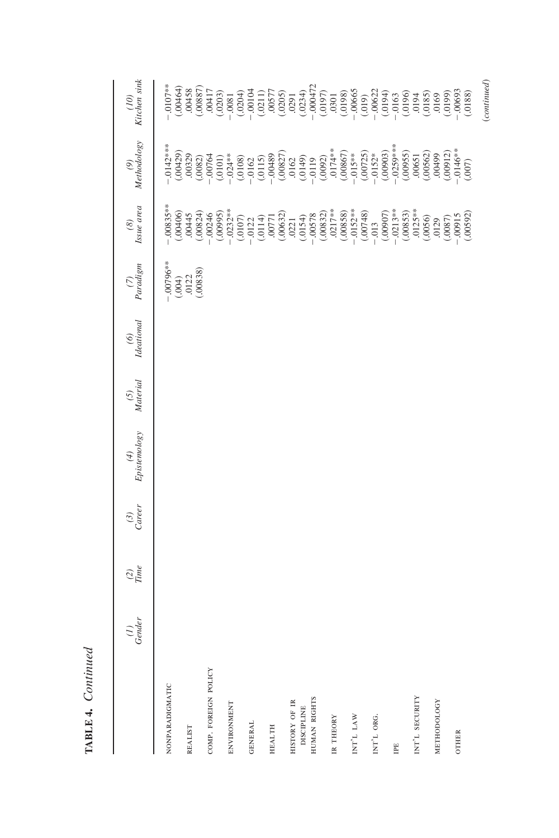| Í      |
|--------|
| t      |
| ľ<br>٦ |

|                      | $\frac{(1)}{Gender}$ | $\frac{(2)}{Time}$ | $\frac{(3)}{Career}$ | $E$ pistemology | $\frac{(5)}{Material}$ | $10^{6}$<br>$10^{4}$ | Para digm                                               | Issue area<br>$(\mathcal{S})$ | Mehodogy                                                                                                                                                                                                                                                                                                                                        | $\begin{array}{c} (10) \\ {\it Kirchen~sink} \end{array}$ |
|----------------------|----------------------|--------------------|----------------------|-----------------|------------------------|----------------------|---------------------------------------------------------|-------------------------------|-------------------------------------------------------------------------------------------------------------------------------------------------------------------------------------------------------------------------------------------------------------------------------------------------------------------------------------------------|-----------------------------------------------------------|
| NONPARADIGMATIC      |                      |                    |                      |                 |                        |                      | $*800796**$                                             |                               |                                                                                                                                                                                                                                                                                                                                                 |                                                           |
| REALIST              |                      |                    |                      |                 |                        |                      | $\begin{array}{c} (004) \\ 0122 \\ (00838) \end{array}$ |                               |                                                                                                                                                                                                                                                                                                                                                 |                                                           |
| COMP. FOREIGN POLICY |                      |                    |                      |                 |                        |                      |                                                         |                               |                                                                                                                                                                                                                                                                                                                                                 |                                                           |
| ENVIRONMENT          |                      |                    |                      |                 |                        |                      |                                                         |                               | $\begin{array}{l} \left( \begin{matrix} 1 & 0 & 0 \\ 0 & 0 & 0 \\ 0 & 0 & 0 \\ 0 & 0 & 0 \\ 0 & 0 & 0 \\ 0 & 0 & 0 \\ 0 & 0 & 0 \\ 0 & 0 & 0 \\ 0 & 0 & 0 \\ 0 & 0 & 0 \\ 0 & 0 & 0 \\ 0 & 0 & 0 \\ 0 & 0 & 0 \\ 0 & 0 & 0 \\ 0 & 0 & 0 \\ 0 & 0 & 0 \\ 0 & 0 & 0 \\ 0 & 0 & 0 \\ 0 & 0 & 0 \\ 0 & 0 & 0 \\ 0 & 0 & 0 \\ 0 & 0 & 0 \\ 0 & 0 & $ |                                                           |
| <b>GENERAL</b>       |                      |                    |                      |                 |                        |                      |                                                         |                               |                                                                                                                                                                                                                                                                                                                                                 |                                                           |
| <b>HEALTH</b>        |                      |                    |                      |                 |                        |                      |                                                         |                               |                                                                                                                                                                                                                                                                                                                                                 |                                                           |
| HISTORY OF IR        |                      |                    |                      |                 |                        |                      |                                                         |                               |                                                                                                                                                                                                                                                                                                                                                 |                                                           |
| <b>DISCIPLINE</b>    |                      |                    |                      |                 |                        |                      |                                                         |                               |                                                                                                                                                                                                                                                                                                                                                 |                                                           |
| HUMAN RIGHTS         |                      |                    |                      |                 |                        |                      |                                                         |                               |                                                                                                                                                                                                                                                                                                                                                 |                                                           |
| IR THEORY            |                      |                    |                      |                 |                        |                      |                                                         |                               |                                                                                                                                                                                                                                                                                                                                                 |                                                           |
| INT'L LAW            |                      |                    |                      |                 |                        |                      |                                                         |                               |                                                                                                                                                                                                                                                                                                                                                 |                                                           |
|                      |                      |                    |                      |                 |                        |                      |                                                         |                               |                                                                                                                                                                                                                                                                                                                                                 |                                                           |
| INT'L ORG.           |                      |                    |                      |                 |                        |                      |                                                         |                               |                                                                                                                                                                                                                                                                                                                                                 |                                                           |
| IPE                  |                      |                    |                      |                 |                        |                      |                                                         |                               |                                                                                                                                                                                                                                                                                                                                                 |                                                           |
|                      |                      |                    |                      |                 |                        |                      |                                                         |                               |                                                                                                                                                                                                                                                                                                                                                 |                                                           |
| INT'L SECURITY       |                      |                    |                      |                 |                        |                      |                                                         |                               |                                                                                                                                                                                                                                                                                                                                                 |                                                           |
| METHODOLOGY          |                      |                    |                      |                 |                        |                      |                                                         |                               |                                                                                                                                                                                                                                                                                                                                                 |                                                           |
|                      |                      |                    |                      |                 |                        |                      |                                                         |                               |                                                                                                                                                                                                                                                                                                                                                 |                                                           |
| <b>OTHER</b>         |                      |                    |                      |                 |                        |                      |                                                         |                               |                                                                                                                                                                                                                                                                                                                                                 |                                                           |
|                      |                      |                    |                      |                 |                        |                      |                                                         |                               |                                                                                                                                                                                                                                                                                                                                                 | (continued)                                               |
|                      |                      |                    |                      |                 |                        |                      |                                                         |                               |                                                                                                                                                                                                                                                                                                                                                 |                                                           |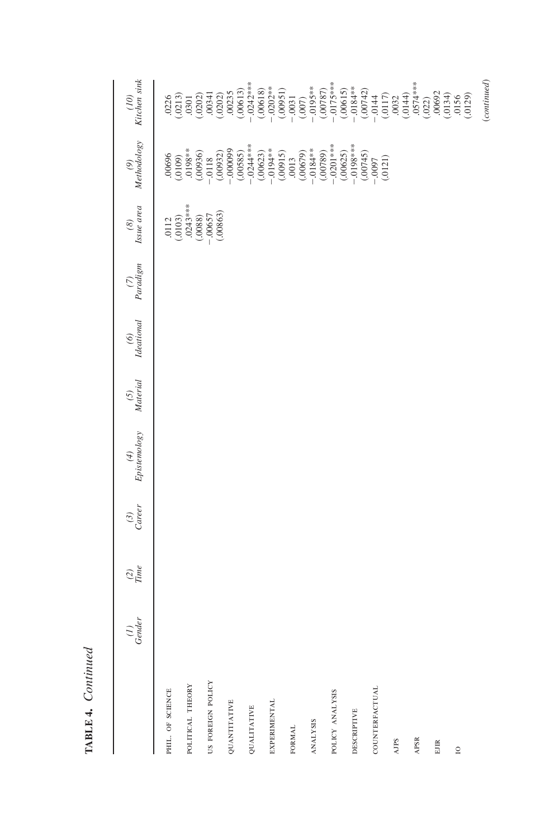|                     | $\frac{(1)}{Gender}$ | $\frac{2}{Time}$ | $\frac{(3)}{Career}$ | Epistemology<br>$(4)$ | $\frac{(5)}{Material}$ | $10$<br>$10$<br>$10$ | $P\nangle P\nand is m$ | Issue area<br>$(\mathcal{S})$ | $\stackrel{(9)}{Methodology}$ | Kitchen sink<br>(10)                                                                                                                                                                                                                                                                                       |
|---------------------|----------------------|------------------|----------------------|-----------------------|------------------------|----------------------|------------------------|-------------------------------|-------------------------------|------------------------------------------------------------------------------------------------------------------------------------------------------------------------------------------------------------------------------------------------------------------------------------------------------------|
| PHIL. OF SCIENCE    |                      |                  |                      |                       |                        |                      |                        | (.0103)<br>.0112              | .00696<br>(.0109)             | (.0213)<br>.0226                                                                                                                                                                                                                                                                                           |
| POLITICAL THEORY    |                      |                  |                      |                       |                        |                      |                        | $.0243***$                    | $***8610.$                    | 0301                                                                                                                                                                                                                                                                                                       |
| US FOREIGN POLICY   |                      |                  |                      |                       |                        |                      |                        | $-.00657$<br>(.0088)          | (00936)<br>$-0.118$           | .00341<br>(.0202)                                                                                                                                                                                                                                                                                          |
| QUANTITATIVE        |                      |                  |                      |                       |                        |                      |                        | (.00863)                      | $-000099$<br>(.00932)         | .00235<br>(.0202)                                                                                                                                                                                                                                                                                          |
| QUALITATIVE         |                      |                  |                      |                       |                        |                      |                        |                               | $(0.00585)$<br>-0244 ***      | $-0.242***$<br>(.00613)                                                                                                                                                                                                                                                                                    |
| <b>EXPERIMENTAL</b> |                      |                  |                      |                       |                        |                      |                        |                               | $(.00623)$<br>-0.194**        | $\begin{array}{l} (0.0618) \\ -0.202^{**} \\ (0.0951) \\ -0.0031 \\ -0.031 \\ (-0.07) \\ -0.195^{**} \\ \end{array}$                                                                                                                                                                                       |
|                     |                      |                  |                      |                       |                        |                      |                        |                               | (.00915)                      |                                                                                                                                                                                                                                                                                                            |
| FORMAL              |                      |                  |                      |                       |                        |                      |                        |                               | (.00679)<br>.0013             |                                                                                                                                                                                                                                                                                                            |
| <b>ANALYSIS</b>     |                      |                  |                      |                       |                        |                      |                        |                               | (68200)                       |                                                                                                                                                                                                                                                                                                            |
| POLICY ANALYSIS     |                      |                  |                      |                       |                        |                      |                        |                               | $-0201***$                    |                                                                                                                                                                                                                                                                                                            |
| <b>DESCRIPTIVE</b>  |                      |                  |                      |                       |                        |                      |                        |                               | $(.00625)$<br>-0.198 ***      |                                                                                                                                                                                                                                                                                                            |
|                     |                      |                  |                      |                       |                        |                      |                        |                               | (.00745)<br>$-0.0097$         |                                                                                                                                                                                                                                                                                                            |
| COUNTERFACTUAL      |                      |                  |                      |                       |                        |                      |                        |                               | (.0121)                       |                                                                                                                                                                                                                                                                                                            |
| <b>AJPS</b>         |                      |                  |                      |                       |                        |                      |                        |                               |                               |                                                                                                                                                                                                                                                                                                            |
| APSR                |                      |                  |                      |                       |                        |                      |                        |                               |                               |                                                                                                                                                                                                                                                                                                            |
| EJIR                |                      |                  |                      |                       |                        |                      |                        |                               |                               | $\begin{array}{l} (0.00787)\\ (-0.175^{***}\atop -0.175^{***}\atop -0.175^{***}\atop -0.1742)\\ (-0.0615)\\ (-0.0474)\\ (-0.144)\\ (-0.017)\\ (0.017)\\ (0.022)\\ (0.052)\\ (0.068)\\ (0.008)\\ (0.0134)\\ (0.0134)\\ (0.0134)\\ (0.0134)\\ (0.0134)\\ (0.0134)\\ (0.0135)\\ (0.0135)\\ (0.0135)\\ (0.013$ |
| $\overline{a}$      |                      |                  |                      |                       |                        |                      |                        |                               |                               | $(0156)$<br>$(0129)$                                                                                                                                                                                                                                                                                       |
|                     |                      |                  |                      |                       |                        |                      |                        |                               |                               | (continued)                                                                                                                                                                                                                                                                                                |

TABLE 4. Continued **TABLE 4.** *Continued*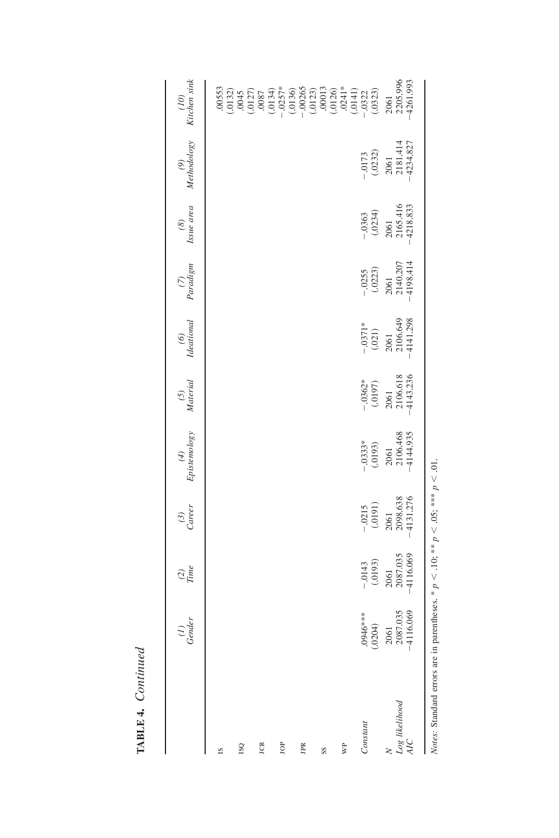|                                                                                                | $\frac{(1)}{Gender}$          | $\frac{2}{Time}$              | $\frac{(3)}{G \, \alpha \, \nu \, \epsilon \, \rho}$                         | $Ep$ istemology               | $\frac{(5)}{Material}$        | $10^{6)}$<br>$10^{4}$                              | $P^{(7)}_{\alpha\alpha\alpha\delta\beta}$ | $(8)$ Issue area              | Methodogy                    | $\begin{array}{c} (10) \\ {\it Kirchen~sink} \end{array}$                                                                                                                                                                                                                                                           |
|------------------------------------------------------------------------------------------------|-------------------------------|-------------------------------|------------------------------------------------------------------------------|-------------------------------|-------------------------------|----------------------------------------------------|-------------------------------------------|-------------------------------|------------------------------|---------------------------------------------------------------------------------------------------------------------------------------------------------------------------------------------------------------------------------------------------------------------------------------------------------------------|
| ĽS                                                                                             |                               |                               |                                                                              |                               |                               |                                                    |                                           |                               |                              |                                                                                                                                                                                                                                                                                                                     |
| <b>ISQ</b>                                                                                     |                               |                               |                                                                              |                               |                               |                                                    |                                           |                               |                              |                                                                                                                                                                                                                                                                                                                     |
| JCR                                                                                            |                               |                               |                                                                              |                               |                               |                                                    |                                           |                               |                              |                                                                                                                                                                                                                                                                                                                     |
| JOP                                                                                            |                               |                               |                                                                              |                               |                               |                                                    |                                           |                               |                              |                                                                                                                                                                                                                                                                                                                     |
| JPR                                                                                            |                               |                               |                                                                              |                               |                               |                                                    |                                           |                               |                              |                                                                                                                                                                                                                                                                                                                     |
| SS                                                                                             |                               |                               |                                                                              |                               |                               |                                                    |                                           |                               |                              |                                                                                                                                                                                                                                                                                                                     |
| WP                                                                                             |                               |                               |                                                                              |                               |                               |                                                    |                                           |                               |                              |                                                                                                                                                                                                                                                                                                                     |
| Constant                                                                                       | (0.0204)                      | $-0.0143$<br>(.0193)          |                                                                              | $-0.333*$<br>(.0193)          | $-0.0362*$                    |                                                    | $-0255$<br>(.0223)                        | $-0.0363$<br>(.0234)          | $-0173$<br>(.0232)           | $\begin{array}{l} 3653 \\[-4pt] 0.012 \\[-4pt] 0.012 \\[-4pt] 0.012 \\[-4pt] 0.012 \\[-4pt] 0.012 \\[-4pt] 0.012 \\[-4pt] 0.012 \\[-4pt] 0.012 \\[-4pt] 0.012 \\[-4pt] 0.012 \\[-4pt] 0.012 \\[-4pt] 0.012 \\[-4pt] 0.012 \\[-4pt] 0.012 \\[-4pt] 0.012 \\[-4pt] 0.012 \\[-4pt] 0.012 \\[-4pt] 0.012 \\[-4pt] 0.01$ |
| Log likelihood                                                                                 | 2061<br>2087.035<br>-4116.069 | 2061<br>2087.035<br>-4116.069 | $\begin{array}{c} -0215 \\ (0191) \\ 2061 \\ 208.638 \\ 131.276 \end{array}$ | 2061<br>2106.468<br>-4144.935 | 2061<br>2106.618<br>-4143.236 | $-0371*$<br>(.021)<br>2061<br>2106.649<br>2106.649 | 2061<br>2140.207<br>-4198.414             | 2061<br>2165.416<br>-4218.833 | 2061<br>2181.414<br>4234.827 | 2061<br>2205.996<br>4261.993                                                                                                                                                                                                                                                                                        |
|                                                                                                |                               |                               |                                                                              |                               |                               |                                                    |                                           |                               |                              |                                                                                                                                                                                                                                                                                                                     |
| <i>Notes:</i> Standard errors are in parentheses. * $p < .10$ ; ** $p < .05$ ; *** $p < .01$ . |                               |                               |                                                                              |                               |                               |                                                    |                                           |                               |                              |                                                                                                                                                                                                                                                                                                                     |

TABLE 4. Continued **TABLE 4.** *Continued*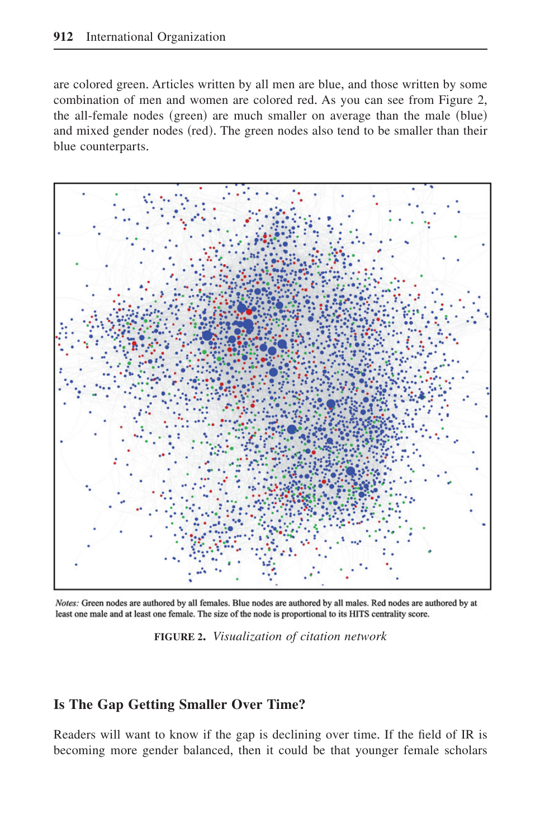are colored green. Articles written by all men are blue, and those written by some combination of men and women are colored red. As you can see from Figure 2, the all-female nodes (green) are much smaller on average than the male (blue) and mixed gender nodes (red). The green nodes also tend to be smaller than their blue counterparts.



Notes: Green nodes are authored by all females. Blue nodes are authored by all males. Red nodes are authored by at least one male and at least one female. The size of the node is proportional to its HITS centrality score.

**FIGURE 2.** *Visualization of citation network*

# **Is The Gap Getting Smaller Over Time?**

Readers will want to know if the gap is declining over time. If the field of IR is becoming more gender balanced, then it could be that younger female scholars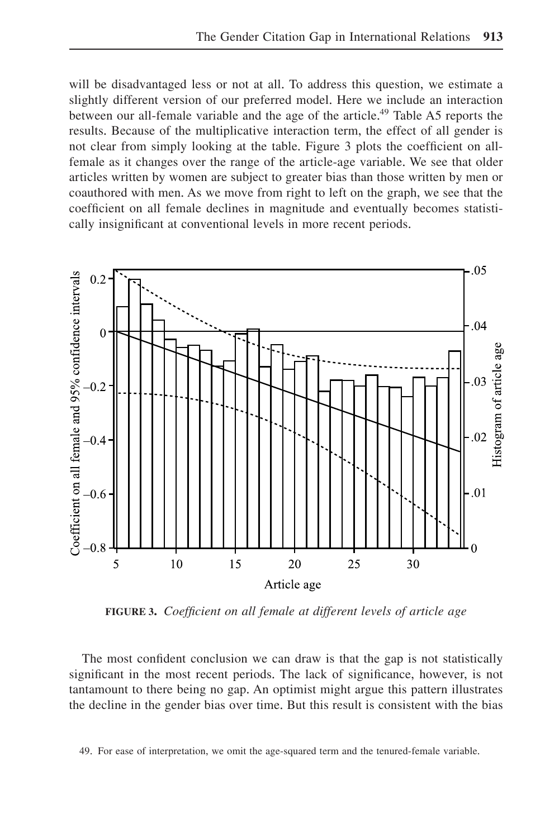will be disadvantaged less or not at all. To address this question, we estimate a slightly different version of our preferred model. Here we include an interaction between our all-female variable and the age of the article.<sup>49</sup> Table A5 reports the results. Because of the multiplicative interaction term, the effect of all gender is not clear from simply looking at the table. Figure 3 plots the coefficient on allfemale as it changes over the range of the article-age variable. We see that older articles written by women are subject to greater bias than those written by men or coauthored with men. As we move from right to left on the graph, we see that the coefficient on all female declines in magnitude and eventually becomes statistically insignificant at conventional levels in more recent periods+



**FIGURE 3.** *Coefficient on all female at different levels of article age*

The most confident conclusion we can draw is that the gap is not statistically significant in the most recent periods. The lack of significance, however, is not tantamount to there being no gap. An optimist might argue this pattern illustrates the decline in the gender bias over time. But this result is consistent with the bias

<sup>49.</sup> For ease of interpretation, we omit the age-squared term and the tenured-female variable.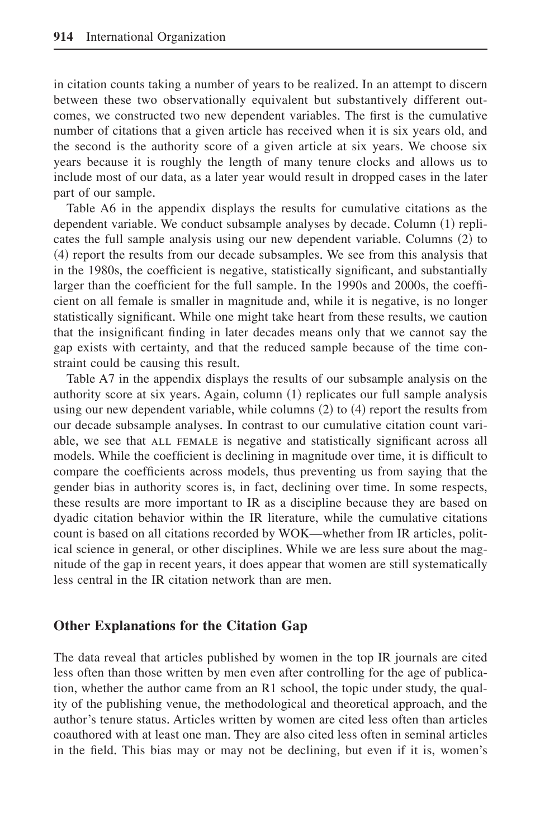in citation counts taking a number of years to be realized. In an attempt to discern between these two observationally equivalent but substantively different outcomes, we constructed two new dependent variables. The first is the cumulative number of citations that a given article has received when it is six years old, and the second is the authority score of a given article at six years. We choose six years because it is roughly the length of many tenure clocks and allows us to include most of our data, as a later year would result in dropped cases in the later part of our sample.

Table A6 in the appendix displays the results for cumulative citations as the dependent variable. We conduct subsample analyses by decade. Column (1) replicates the full sample analysis using our new dependent variable. Columns  $(2)$  to  $(4)$  report the results from our decade subsamples. We see from this analysis that in the 1980s, the coefficient is negative, statistically significant, and substantially larger than the coefficient for the full sample. In the 1990s and 2000s, the coefficient on all female is smaller in magnitude and, while it is negative, is no longer statistically significant. While one might take heart from these results, we caution that the insignificant finding in later decades means only that we cannot say the gap exists with certainty, and that the reduced sample because of the time constraint could be causing this result.

Table A7 in the appendix displays the results of our subsample analysis on the authority score at six years. Again, column  $(1)$  replicates our full sample analysis using our new dependent variable, while columns (2) to (4) report the results from our decade subsample analyses. In contrast to our cumulative citation count variable, we see that ALL FEMALE is negative and statistically significant across all models. While the coefficient is declining in magnitude over time, it is difficult to compare the coefficients across models, thus preventing us from saying that the gender bias in authority scores is, in fact, declining over time. In some respects, these results are more important to IR as a discipline because they are based on dyadic citation behavior within the IR literature, while the cumulative citations count is based on all citations recorded by WOK—whether from IR articles, political science in general, or other disciplines. While we are less sure about the magnitude of the gap in recent years, it does appear that women are still systematically less central in the IR citation network than are men+

## **Other Explanations for the Citation Gap**

The data reveal that articles published by women in the top IR journals are cited less often than those written by men even after controlling for the age of publication, whether the author came from an R1 school, the topic under study, the quality of the publishing venue, the methodological and theoretical approach, and the author's tenure status. Articles written by women are cited less often than articles coauthored with at least one man. They are also cited less often in seminal articles in the field. This bias may or may not be declining, but even if it is, women's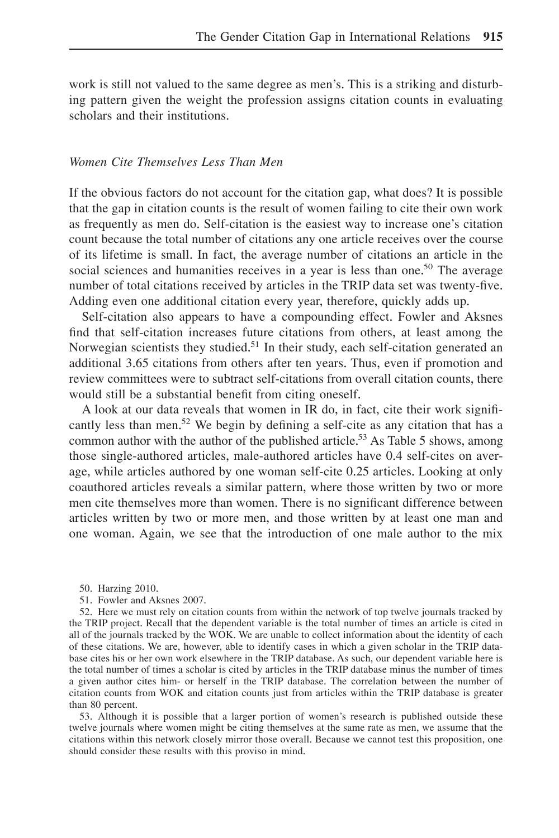work is still not valued to the same degree as men's. This is a striking and disturbing pattern given the weight the profession assigns citation counts in evaluating scholars and their institutions.

#### *Women Cite Themselves Less Than Men*

If the obvious factors do not account for the citation gap, what does? It is possible that the gap in citation counts is the result of women failing to cite their own work as frequently as men do. Self-citation is the easiest way to increase one's citation count because the total number of citations any one article receives over the course of its lifetime is small. In fact, the average number of citations an article in the social sciences and humanities receives in a year is less than one.<sup>50</sup> The average number of total citations received by articles in the TRIP data set was twenty-five. Adding even one additional citation every year, therefore, quickly adds up.

Self-citation also appears to have a compounding effect. Fowler and Aksnes find that self-citation increases future citations from others, at least among the Norwegian scientists they studied.<sup>51</sup> In their study, each self-citation generated an additional 3.65 citations from others after ten years. Thus, even if promotion and review committees were to subtract self-citations from overall citation counts, there would still be a substantial benefit from citing oneself.

A look at our data reveals that women in IR do, in fact, cite their work significantly less than men.<sup>52</sup> We begin by defining a self-cite as any citation that has a common author with the author of the published article.<sup>53</sup> As Table 5 shows, among those single-authored articles, male-authored articles have 0.4 self-cites on average, while articles authored by one woman self-cite 0.25 articles. Looking at only coauthored articles reveals a similar pattern, where those written by two or more men cite themselves more than women. There is no significant difference between articles written by two or more men, and those written by at least one man and one woman, Again, we see that the introduction of one male author to the mix

- 50. Harzing 2010.
- 51. Fowler and Aksnes 2007.

52. Here we must rely on citation counts from within the network of top twelve journals tracked by the TRIP project. Recall that the dependent variable is the total number of times an article is cited in all of the journals tracked by the WOK. We are unable to collect information about the identity of each of these citations. We are, however, able to identify cases in which a given scholar in the TRIP database cites his or her own work elsewhere in the TRIP database. As such, our dependent variable here is the total number of times a scholar is cited by articles in the TRIP database minus the number of times a given author cites him- or herself in the TRIP database. The correlation between the number of citation counts from WOK and citation counts just from articles within the TRIP database is greater than 80 percent.

53. Although it is possible that a larger portion of women's research is published outside these twelve journals where women might be citing themselves at the same rate as men, we assume that the citations within this network closely mirror those overall. Because we cannot test this proposition, one should consider these results with this proviso in mind.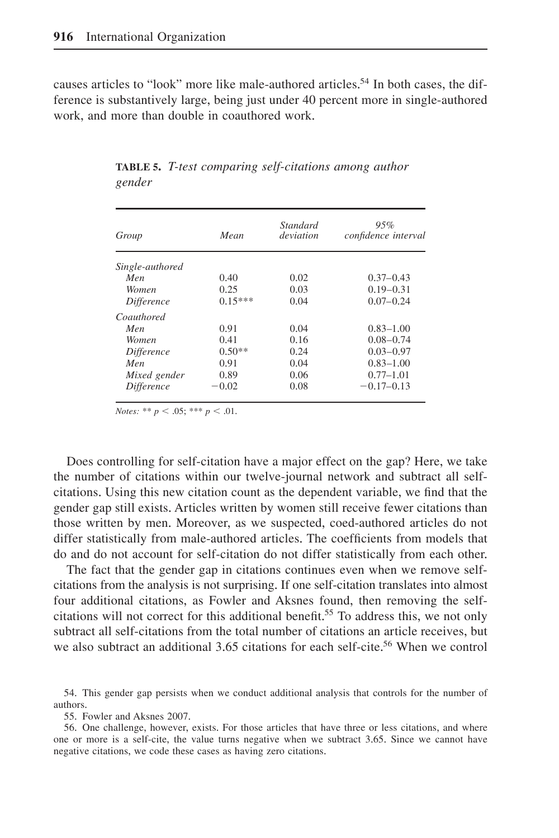causes articles to "look" more like male-authored articles.<sup>54</sup> In both cases, the difference is substantively large, being just under 40 percent more in single-authored work, and more than double in coauthored work.

| Group             | Mean      | Standard<br>deviation | 95%<br>confidence interval |
|-------------------|-----------|-----------------------|----------------------------|
| Single-authored   |           |                       |                            |
| Men               | 0.40      | 0.02                  | $0.37 - 0.43$              |
| Women             | 0.25      | 0.03                  | $0.19 - 0.31$              |
| Difference        | $0.15***$ | 0.04                  | $0.07 - 0.24$              |
| Coauthored        |           |                       |                            |
| Men               | 0.91      | 0.04                  | $0.83 - 1.00$              |
| Women             | 0.41      | 0.16                  | $0.08 - 0.74$              |
| Difference        | $0.50**$  | 0.24                  | $0.03 - 0.97$              |
| Men               | 0.91      | 0.04                  | $0.83 - 1.00$              |
| Mixed gender      | 0.89      | 0.06                  | $0.77 - 1.01$              |
| <i>Difference</i> | $-0.02$   | 0.08                  | $-0.17-0.13$               |

**TABLE 5.** *T-test comparing self-citations among author gender*

*Notes:* \*\*  $p < .05$ ; \*\*\*  $p < .01$ .

Does controlling for self-citation have a major effect on the gap? Here, we take the number of citations within our twelve-journal network and subtract all selfcitations. Using this new citation count as the dependent variable, we find that the gender gap still exists. Articles written by women still receive fewer citations than those written by men. Moreover, as we suspected, coed-authored articles do not differ statistically from male-authored articles. The coefficients from models that do and do not account for self-citation do not differ statistically from each other.

The fact that the gender gap in citations continues even when we remove selfcitations from the analysis is not surprising. If one self-citation translates into almost four additional citations, as Fowler and Aksnes found, then removing the selfcitations will not correct for this additional benefit.<sup>55</sup> To address this, we not only subtract all self-citations from the total number of citations an article receives, but we also subtract an additional 3.65 citations for each self-cite.<sup>56</sup> When we control

54. This gender gap persists when we conduct additional analysis that controls for the number of authors+

55. Fowler and Aksnes 2007.

56. One challenge, however, exists. For those articles that have three or less citations, and where one or more is a self-cite, the value turns negative when we subtract 3.65. Since we cannot have negative citations, we code these cases as having zero citations+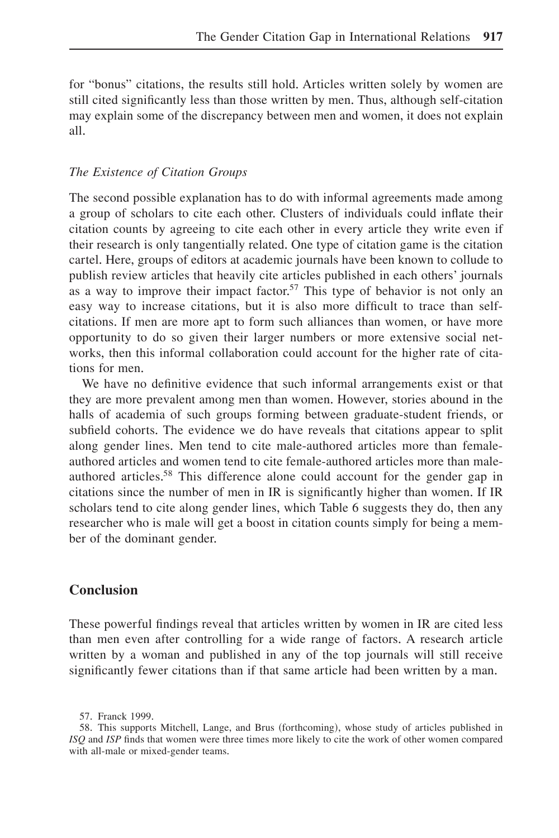for "bonus" citations, the results still hold+ Articles written solely by women are still cited significantly less than those written by men. Thus, although self-citation may explain some of the discrepancy between men and women, it does not explain all+

#### *The Existence of Citation Groups*

The second possible explanation has to do with informal agreements made among a group of scholars to cite each other. Clusters of individuals could inflate their citation counts by agreeing to cite each other in every article they write even if their research is only tangentially related+ One type of citation game is the citation cartel. Here, groups of editors at academic journals have been known to collude to publish review articles that heavily cite articles published in each others' journals as a way to improve their impact factor.<sup>57</sup> This type of behavior is not only an easy way to increase citations, but it is also more difficult to trace than selfcitations. If men are more apt to form such alliances than women, or have more opportunity to do so given their larger numbers or more extensive social networks, then this informal collaboration could account for the higher rate of citations for men.

We have no definitive evidence that such informal arrangements exist or that they are more prevalent among men than women. However, stories abound in the halls of academia of such groups forming between graduate-student friends, or subfield cohorts. The evidence we do have reveals that citations appear to split along gender lines. Men tend to cite male-authored articles more than femaleauthored articles and women tend to cite female-authored articles more than maleauthored articles.<sup>58</sup> This difference alone could account for the gender gap in citations since the number of men in IR is significantly higher than women. If IR scholars tend to cite along gender lines, which Table 6 suggests they do, then any researcher who is male will get a boost in citation counts simply for being a member of the dominant gender.

# **Conclusion**

These powerful findings reveal that articles written by women in IR are cited less than men even after controlling for a wide range of factors. A research article written by a woman and published in any of the top journals will still receive significantly fewer citations than if that same article had been written by a man.

<sup>57.</sup> Franck 1999.

<sup>58.</sup> This supports Mitchell, Lange, and Brus (forthcoming), whose study of articles published in *ISQ* and *ISP* finds that women were three times more likely to cite the work of other women compared with all-male or mixed-gender teams.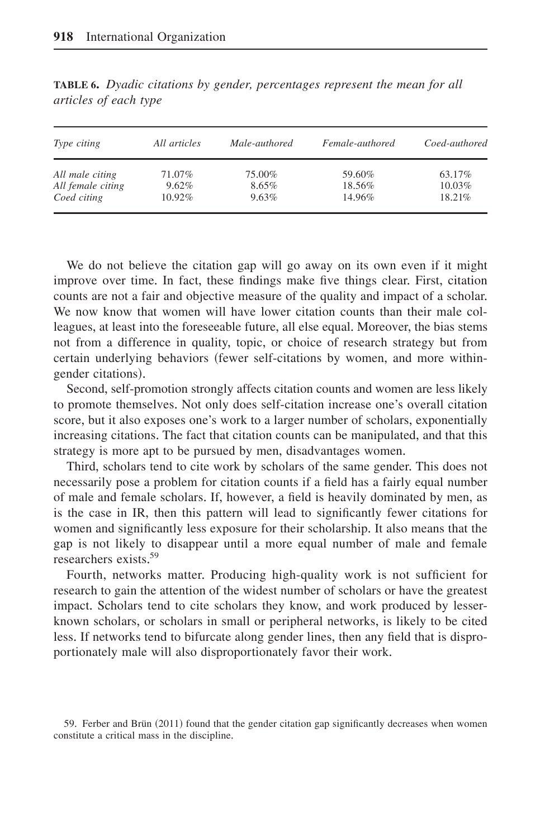| Type citing       | All articles | Male-authored | Female-authored | Coed-authored |
|-------------------|--------------|---------------|-----------------|---------------|
| All male citing   | 71.07%       | 75.00%        | 59.60%          | 63.17%        |
| All female citing | $9.62\%$     | 8.65%         | 18.56%          | 10.03%        |
| Coed citing       | $10.92\%$    | 9.63%         | 14.96%          | 18.21%        |

**TABLE 6.** *Dyadic citations by gender, percentages represent the mean for all articles of each type*

We do not believe the citation gap will go away on its own even if it might improve over time. In fact, these findings make five things clear. First, citation counts are not a fair and objective measure of the quality and impact of a scholar. We now know that women will have lower citation counts than their male colleagues, at least into the foreseeable future, all else equal. Moreover, the bias stems not from a difference in quality, topic, or choice of research strategy but from certain underlying behaviors (fewer self-citations by women, and more withingender citations).

Second, self-promotion strongly affects citation counts and women are less likely to promote themselves. Not only does self-citation increase one's overall citation score, but it also exposes one's work to a larger number of scholars, exponentially increasing citations. The fact that citation counts can be manipulated, and that this strategy is more apt to be pursued by men, disadvantages women.

Third, scholars tend to cite work by scholars of the same gender. This does not necessarily pose a problem for citation counts if a field has a fairly equal number of male and female scholars. If, however, a field is heavily dominated by men, as is the case in IR, then this pattern will lead to significantly fewer citations for women and significantly less exposure for their scholarship. It also means that the gap is not likely to disappear until a more equal number of male and female researchers exists.<sup>59</sup>

Fourth, networks matter. Producing high-quality work is not sufficient for research to gain the attention of the widest number of scholars or have the greatest impact. Scholars tend to cite scholars they know, and work produced by lesserknown scholars, or scholars in small or peripheral networks, is likely to be cited less. If networks tend to bifurcate along gender lines, then any field that is disproportionately male will also disproportionately favor their work.

<sup>59.</sup> Ferber and Brün (2011) found that the gender citation gap significantly decreases when women constitute a critical mass in the discipline.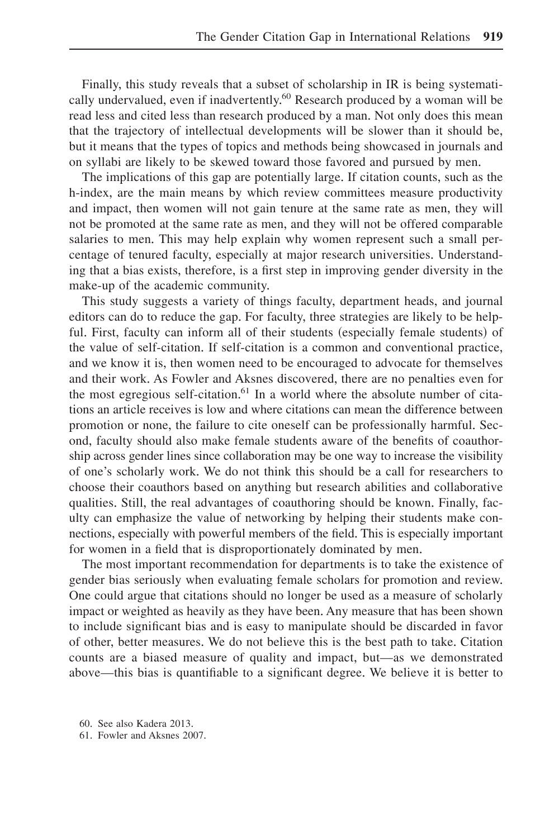Finally, this study reveals that a subset of scholarship in IR is being systematically undervalued, even if inadvertently.<sup>60</sup> Research produced by a woman will be read less and cited less than research produced by a man. Not only does this mean that the trajectory of intellectual developments will be slower than it should be, but it means that the types of topics and methods being showcased in journals and on syllabi are likely to be skewed toward those favored and pursued by men.

The implications of this gap are potentially large. If citation counts, such as the h-index, are the main means by which review committees measure productivity and impact, then women will not gain tenure at the same rate as men, they will not be promoted at the same rate as men, and they will not be offered comparable salaries to men. This may help explain why women represent such a small percentage of tenured faculty, especially at major research universities. Understanding that a bias exists, therefore, is a first step in improving gender diversity in the make-up of the academic community.

This study suggests a variety of things faculty, department heads, and journal editors can do to reduce the gap. For faculty, three strategies are likely to be helpful. First, faculty can inform all of their students (especially female students) of the value of self-citation. If self-citation is a common and conventional practice, and we know it is, then women need to be encouraged to advocate for themselves and their work. As Fowler and Aksnes discovered, there are no penalties even for the most egregious self-citation.<sup>61</sup> In a world where the absolute number of citations an article receives is low and where citations can mean the difference between promotion or none, the failure to cite oneself can be professionally harmful. Second, faculty should also make female students aware of the benefits of coauthorship across gender lines since collaboration may be one way to increase the visibility of one's scholarly work. We do not think this should be a call for researchers to choose their coauthors based on anything but research abilities and collaborative qualities. Still, the real advantages of coauthoring should be known. Finally, faculty can emphasize the value of networking by helping their students make connections, especially with powerful members of the field. This is especially important for women in a field that is disproportionately dominated by men.

The most important recommendation for departments is to take the existence of gender bias seriously when evaluating female scholars for promotion and review. One could argue that citations should no longer be used as a measure of scholarly impact or weighted as heavily as they have been. Any measure that has been shown to include significant bias and is easy to manipulate should be discarded in favor of other, better measures. We do not believe this is the best path to take. Citation counts are a biased measure of quality and impact, but—as we demonstrated above—this bias is quantifiable to a significant degree. We believe it is better to

61. Fowler and Aksnes 2007.

<sup>60.</sup> See also Kadera 2013.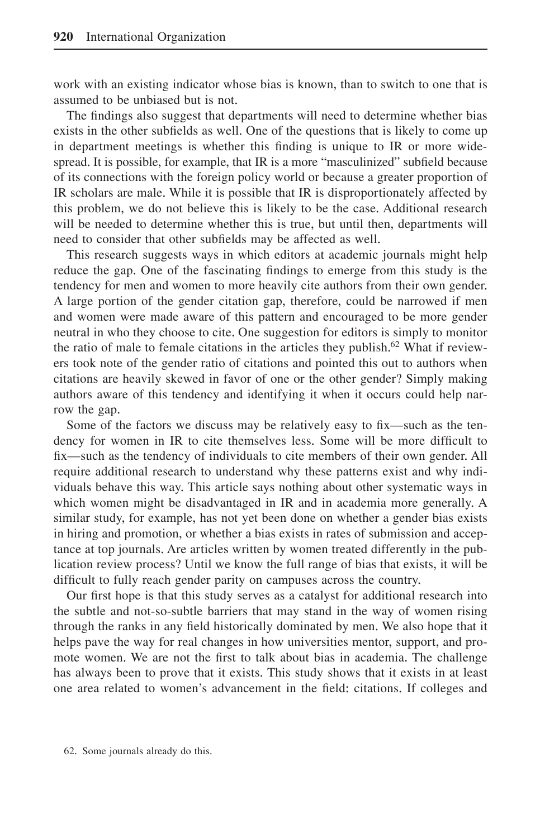work with an existing indicator whose bias is known, than to switch to one that is assumed to be unbiased but is not.

The findings also suggest that departments will need to determine whether bias exists in the other subfields as well. One of the questions that is likely to come up in department meetings is whether this finding is unique to IR or more widespread. It is possible, for example, that IR is a more "masculinized" subfield because of its connections with the foreign policy world or because a greater proportion of IR scholars are male. While it is possible that IR is disproportionately affected by this problem, we do not believe this is likely to be the case. Additional research will be needed to determine whether this is true, but until then, departments will need to consider that other subfields may be affected as well.

This research suggests ways in which editors at academic journals might help reduce the gap. One of the fascinating findings to emerge from this study is the tendency for men and women to more heavily cite authors from their own gender. A large portion of the gender citation gap, therefore, could be narrowed if men and women were made aware of this pattern and encouraged to be more gender neutral in who they choose to cite. One suggestion for editors is simply to monitor the ratio of male to female citations in the articles they publish.<sup>62</sup> What if reviewers took note of the gender ratio of citations and pointed this out to authors when citations are heavily skewed in favor of one or the other gender? Simply making authors aware of this tendency and identifying it when it occurs could help narrow the gap.

Some of the factors we discuss may be relatively easy to fix—such as the tendency for women in IR to cite themselves less. Some will be more difficult to fix—such as the tendency of individuals to cite members of their own gender. All require additional research to understand why these patterns exist and why individuals behave this way. This article says nothing about other systematic ways in which women might be disadvantaged in IR and in academia more generally. A similar study, for example, has not yet been done on whether a gender bias exists in hiring and promotion, or whether a bias exists in rates of submission and acceptance at top journals. Are articles written by women treated differently in the publication review process? Until we know the full range of bias that exists, it will be difficult to fully reach gender parity on campuses across the country.

Our first hope is that this study serves as a catalyst for additional research into the subtle and not-so-subtle barriers that may stand in the way of women rising through the ranks in any field historically dominated by men. We also hope that it helps pave the way for real changes in how universities mentor, support, and promote women. We are not the first to talk about bias in academia. The challenge has always been to prove that it exists. This study shows that it exists in at least one area related to women's advancement in the field: citations. If colleges and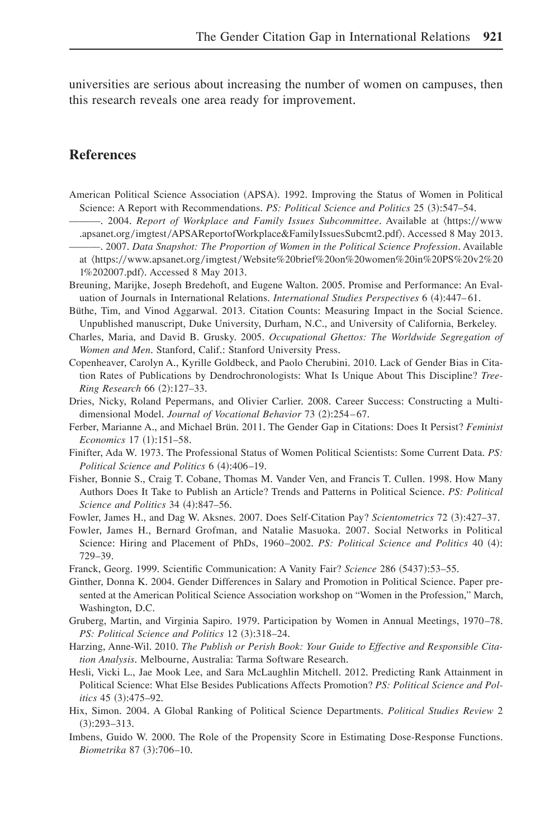universities are serious about increasing the number of women on campuses, then this research reveals one area ready for improvement.

# **References**

- American Political Science Association (APSA). 1992. Improving the Status of Women in Political Science: A Report with Recommendations, *PS: Political Science and Politics* 25 (3):547–54.
- -. 2004. Report of Workplace and Family Issues Subcommittee. Available at  $\langle$ https://www .apsanet.org/imgtest/APSAReportofWorkplace&FamilyIssuesSubcmt2.pdf). Accessed 8 May 2013.
- ———+ 2007+ *Data Snapshot: The Proportion of Women in the Political Science Profession*+ Available at  $\langle$ https://www.apsanet.org/imgtest/Website%20brief%20on%20women%20in%20PS%20v2%20 1%202007.pdf). Accessed 8 May 2013.
- Breuning, Marijke, Joseph Bredehoft, and Eugene Walton. 2005. Promise and Performance: An Evaluation of Journals in International Relations. *International Studies Perspectives* 6 (4):447–61.
- Büthe, Tim, and Vinod Aggarwal. 2013. Citation Counts: Measuring Impact in the Social Science. Unpublished manuscript, Duke University, Durham, N.C., and University of California, Berkeley.
- Charles, Maria, and David B+ Grusky+ 2005+ *Occupational Ghettos: The Worldwide Segregation of* Women and Men. Stanford, Calif.: Stanford University Press.
- Copenheaver, Carolyn A., Kyrille Goldbeck, and Paolo Cherubini. 2010. Lack of Gender Bias in Citation Rates of Publications by Dendrochronologists: What Is Unique About This Discipline? *Tree-Ring Research* 66 (2):127-33.
- Dries, Nicky, Roland Pepermans, and Olivier Carlier. 2008. Career Success: Constructing a Multidimensional Model. *Journal of Vocational Behavior* 73 (2):254–67.
- Ferber, Marianne A., and Michael Brün. 2011. The Gender Gap in Citations: Does It Persist? *Feminist Economics* 17 (1):151-58.
- Finifter, Ada W. 1973. The Professional Status of Women Political Scientists: Some Current Data. PS: *Political Science and Politics* 6 (4):406-19.
- Fisher, Bonnie S., Craig T. Cobane, Thomas M. Vander Ven, and Francis T. Cullen. 1998. How Many Authors Does It Take to Publish an Article? Trends and Patterns in Political Science+ *PS: Political Science and Politics* 34 (4):847–56.
- Fowler, James H., and Dag W. Aksnes. 2007. Does Self-Citation Pay? *Scientometrics* 72 (3):427–37.
- Fowler, James H., Bernard Grofman, and Natalie Masuoka. 2007. Social Networks in Political Science: Hiring and Placement of PhDs, 1960–2002. *PS: Political Science and Politics* 40 (4): 729–39+
- Franck, Georg. 1999. Scientific Communication: A Vanity Fair? *Science* 286 (5437):53–55.
- Ginther, Donna K. 2004. Gender Differences in Salary and Promotion in Political Science. Paper presented at the American Political Science Association workshop on "Women in the Profession," March, Washington, D.C.
- Gruberg, Martin, and Virginia Sapiro. 1979. Participation by Women in Annual Meetings, 1970–78. *PS: Political Science and Politics* 12 (3):318–24.
- Harzing, Anne-Wil, 2010. The Publish or Perish Book: Your Guide to Effective and Responsible Cita*tion Analysis*. Melbourne, Australia: Tarma Software Research.
- Hesli, Vicki L., Jae Mook Lee, and Sara McLaughlin Mitchell. 2012. Predicting Rank Attainment in Political Science: What Else Besides Publications Affects Promotion? *PS: Political Science and Politics* 45 (3):475-92.
- Hix, Simon. 2004. A Global Ranking of Political Science Departments. *Political Studies Review* 2  $(3):293-313.$
- Imbens, Guido W. 2000. The Role of the Propensity Score in Estimating Dose-Response Functions. *Biometrika* 87 (3):706-10.